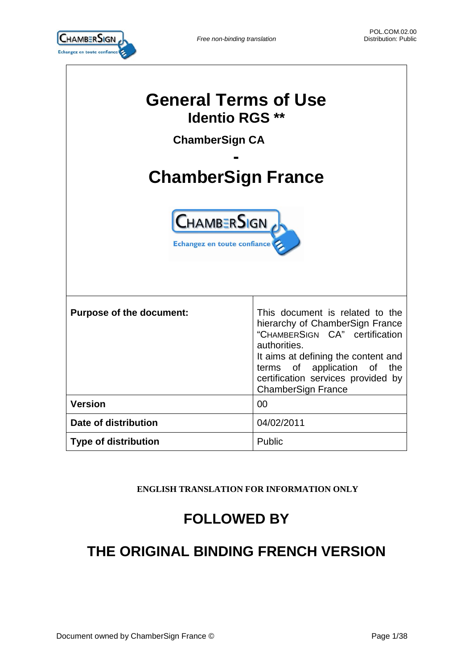

| <b>General Terms of Use</b><br><b>Identio RGS **</b><br><b>ChamberSign CA</b><br><b>ChamberSign France</b><br><b>CHAMBERSIGN</b><br>Echangez en toute confiance |                                                                                                                                                                                                                                                               |  |
|-----------------------------------------------------------------------------------------------------------------------------------------------------------------|---------------------------------------------------------------------------------------------------------------------------------------------------------------------------------------------------------------------------------------------------------------|--|
| <b>Purpose of the document:</b>                                                                                                                                 | This document is related to the<br>hierarchy of ChamberSign France<br>"CHAMBERSIGN CA" certification<br>authorities.<br>It aims at defining the content and<br>terms of application of the<br>certification services provided by<br><b>ChamberSign France</b> |  |
| <b>Version</b>                                                                                                                                                  | 00                                                                                                                                                                                                                                                            |  |
| Date of distribution                                                                                                                                            | 04/02/2011                                                                                                                                                                                                                                                    |  |
| <b>Type of distribution</b>                                                                                                                                     | Public                                                                                                                                                                                                                                                        |  |

# **ENGLISH TRANSLATION FOR INFORMATION ONLY**

# **FOLLOWED BY**

# **THE ORIGINAL BINDING FRENCH VERSION**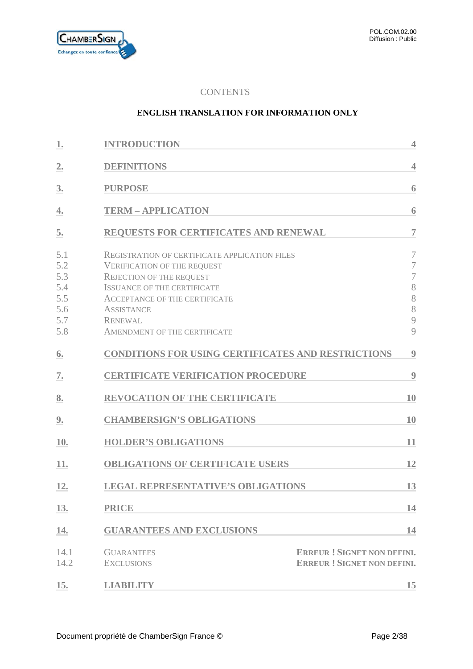

# **CONTENTS**

#### **ENGLISH TRANSLATION FOR INFORMATION ONLY**

| 1.                                                   | <b>INTRODUCTION</b>                                                                                                                                                                                                                                                                | $\overline{4}$                                                         |
|------------------------------------------------------|------------------------------------------------------------------------------------------------------------------------------------------------------------------------------------------------------------------------------------------------------------------------------------|------------------------------------------------------------------------|
| $\overline{2}$ .                                     | <b>DEFINITIONS</b>                                                                                                                                                                                                                                                                 | $\overline{4}$                                                         |
| 3.                                                   | <b>PURPOSE</b>                                                                                                                                                                                                                                                                     | 6                                                                      |
| 4.                                                   | <b>TERM - APPLICATION</b>                                                                                                                                                                                                                                                          | 6                                                                      |
| 5.                                                   | REQUESTS FOR CERTIFICATES AND RENEWAL                                                                                                                                                                                                                                              | $\overline{7}$                                                         |
| 5.1<br>5.2<br>5.3<br>5.4<br>5.5<br>5.6<br>5.7<br>5.8 | <b>REGISTRATION OF CERTIFICATE APPLICATION FILES</b><br><b>VERIFICATION OF THE REQUEST</b><br>REJECTION OF THE REQUEST<br><b>ISSUANCE OF THE CERTIFICATE</b><br><b>ACCEPTANCE OF THE CERTIFICATE</b><br><b>ASSISTANCE</b><br><b>RENEWAL</b><br><b>AMENDMENT OF THE CERTIFICATE</b> | $\overline{7}$<br>7<br>$\overline{7}$<br>8<br>8<br>8<br>9<br>9         |
| 6.                                                   | <b>CONDITIONS FOR USING CERTIFICATES AND RESTRICTIONS</b>                                                                                                                                                                                                                          | $\boldsymbol{9}$                                                       |
| 7.                                                   | <b>CERTIFICATE VERIFICATION PROCEDURE</b>                                                                                                                                                                                                                                          | 9                                                                      |
| 8.                                                   | <b>REVOCATION OF THE CERTIFICATE</b>                                                                                                                                                                                                                                               | 10                                                                     |
| <u>9.</u>                                            | <b>CHAMBERSIGN'S OBLIGATIONS</b>                                                                                                                                                                                                                                                   | 10                                                                     |
| 10.                                                  | <b>HOLDER'S OBLIGATIONS</b>                                                                                                                                                                                                                                                        | 11                                                                     |
| 11.                                                  | <b>OBLIGATIONS OF CERTIFICATE USERS</b>                                                                                                                                                                                                                                            | 12                                                                     |
| 12.                                                  | <b>LEGAL REPRESENTATIVE'S OBLIGATIONS</b>                                                                                                                                                                                                                                          | 13                                                                     |
| 13.                                                  | <b>PRICE</b>                                                                                                                                                                                                                                                                       | 14                                                                     |
| 14.                                                  | <b>GUARANTEES AND EXCLUSIONS</b>                                                                                                                                                                                                                                                   | 14                                                                     |
| 14.1<br>14.2                                         | <b>GUARANTEES</b><br><b>EXCLUSIONS</b>                                                                                                                                                                                                                                             | <b>ERREUR! SIGNET NON DEFINI.</b><br><b>ERREUR! SIGNET NON DEFINI.</b> |
| 15.                                                  | <b>LIABILITY</b>                                                                                                                                                                                                                                                                   | 15                                                                     |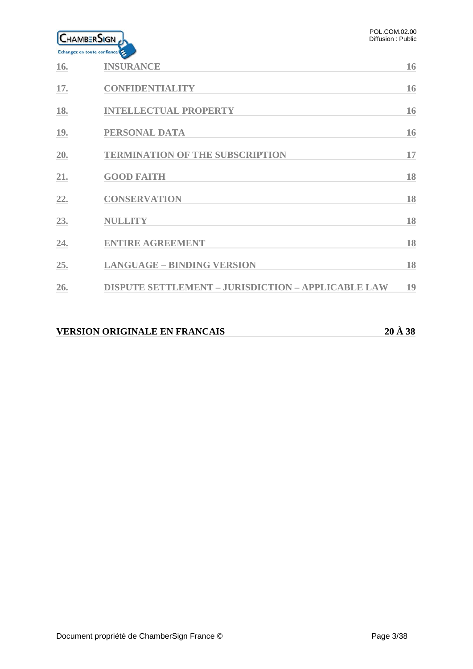

| 16. | <b>INSURANCE</b>                                          | 16 |
|-----|-----------------------------------------------------------|----|
| 17. | <b>CONFIDENTIALITY</b>                                    | 16 |
| 18. | <b>INTELLECTUAL PROPERTY</b>                              | 16 |
| 19. | PERSONAL DATA                                             | 16 |
| 20. | <b>TERMINATION OF THE SUBSCRIPTION</b>                    | 17 |
| 21. | <b>GOOD FAITH</b>                                         | 18 |
| 22. | <b>CONSERVATION</b>                                       | 18 |
| 23. | <b>NULLITY</b>                                            | 18 |
| 24. | <b>ENTIRE AGREEMENT</b>                                   | 18 |
| 25. | <b>LANGUAGE - BINDING VERSION</b>                         | 18 |
| 26. | <b>DISPUTE SETTLEMENT - JURISDICTION - APPLICABLE LAW</b> | 19 |
|     |                                                           |    |

# **VERSION ORIGINALE EN FRANCAIS 20 À 38**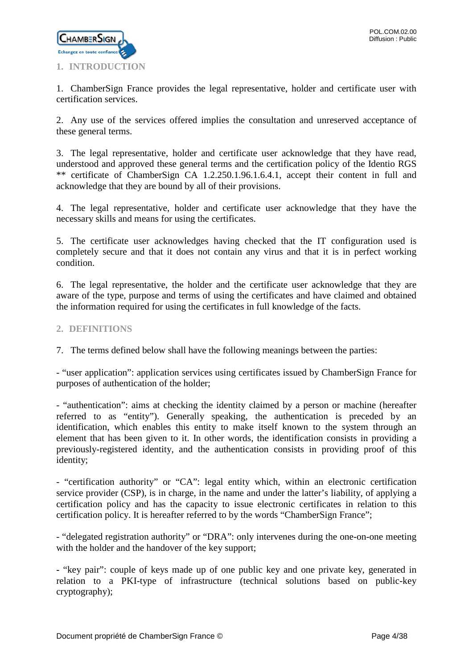

<span id="page-3-0"></span>1. ChamberSign France provides the legal representative, holder and certificate user with certification services.

2. Any use of the services offered implies the consultation and unreserved acceptance of these general terms.

3. The legal representative, holder and certificate user acknowledge that they have read, understood and approved these general terms and the certification policy of the Identio RGS \*\* certificate of ChamberSign CA 1.2.250.1.96.1.6.4.1, accept their content in full and acknowledge that they are bound by all of their provisions.

4. The legal representative, holder and certificate user acknowledge that they have the necessary skills and means for using the certificates.

5. The certificate user acknowledges having checked that the IT configuration used is completely secure and that it does not contain any virus and that it is in perfect working condition.

6. The legal representative, the holder and the certificate user acknowledge that they are aware of the type, purpose and terms of using the certificates and have claimed and obtained the information required for using the certificates in full knowledge of the facts.

# <span id="page-3-1"></span>**2. DEFINITIONS**

7. The terms defined below shall have the following meanings between the parties:

- "user application": application services using certificates issued by ChamberSign France for purposes of authentication of the holder;

- "authentication": aims at checking the identity claimed by a person or machine (hereafter referred to as "entity"). Generally speaking, the authentication is preceded by an identification, which enables this entity to make itself known to the system through an element that has been given to it. In other words, the identification consists in providing a previously-registered identity, and the authentication consists in providing proof of this identity;

- "certification authority" or "CA": legal entity which, within an electronic certification service provider (CSP), is in charge, in the name and under the latter's liability, of applying a certification policy and has the capacity to issue electronic certificates in relation to this certification policy. It is hereafter referred to by the words "ChamberSign France";

- "delegated registration authority" or "DRA": only intervenes during the one-on-one meeting with the holder and the handover of the key support;

**-** "key pair": couple of keys made up of one public key and one private key, generated in relation to a PKI-type of infrastructure (technical solutions based on public-key cryptography);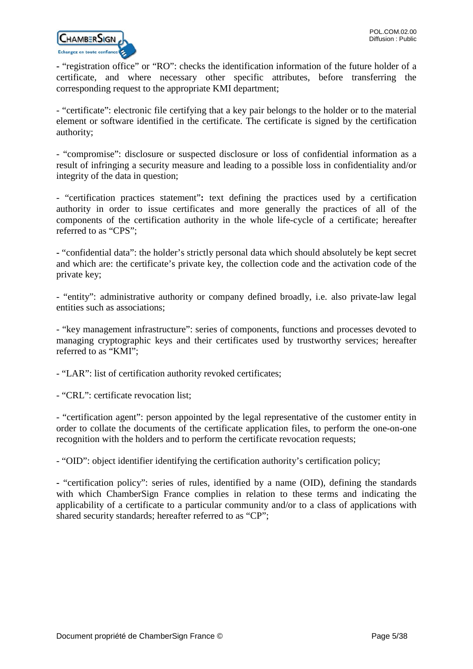

**-** "registration office" or "RO": checks the identification information of the future holder of a certificate, and where necessary other specific attributes, before transferring the corresponding request to the appropriate KMI department;

- "certificate": electronic file certifying that a key pair belongs to the holder or to the material element or software identified in the certificate. The certificate is signed by the certification authority;

- "compromise": disclosure or suspected disclosure or loss of confidential information as a result of infringing a security measure and leading to a possible loss in confidentiality and/or integrity of the data in question;

- "certification practices statement"**:** text defining the practices used by a certification authority in order to issue certificates and more generally the practices of all of the components of the certification authority in the whole life-cycle of a certificate; hereafter referred to as "CPS";

**-** "confidential data": the holder's strictly personal data which should absolutely be kept secret and which are: the certificate's private key, the collection code and the activation code of the private key;

- "entity": administrative authority or company defined broadly, i.e. also private-law legal entities such as associations;

- "key management infrastructure": series of components, functions and processes devoted to managing cryptographic keys and their certificates used by trustworthy services; hereafter referred to as "KMI";

- "LAR": list of certification authority revoked certificates;

- "CRL": certificate revocation list;

- "certification agent": person appointed by the legal representative of the customer entity in order to collate the documents of the certificate application files, to perform the one-on-one recognition with the holders and to perform the certificate revocation requests;

- "OID": object identifier identifying the certification authority's certification policy;

**-** "certification policy": series of rules, identified by a name (OID), defining the standards with which ChamberSign France complies in relation to these terms and indicating the applicability of a certificate to a particular community and/or to a class of applications with shared security standards; hereafter referred to as "CP";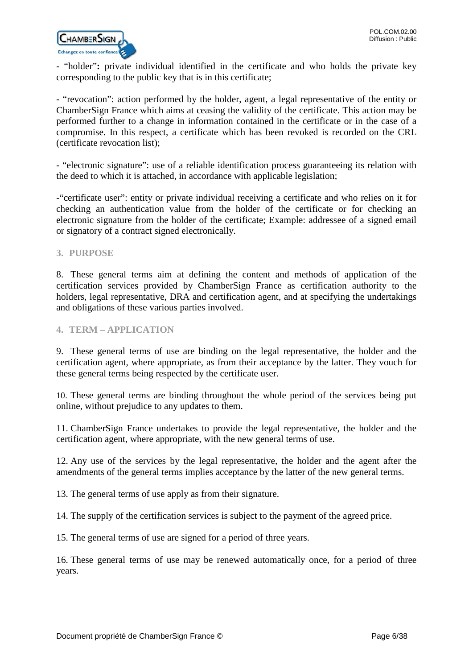

**-** "holder"**:** private individual identified in the certificate and who holds the private key corresponding to the public key that is in this certificate;

**-** "revocation": action performed by the holder, agent, a legal representative of the entity or ChamberSign France which aims at ceasing the validity of the certificate. This action may be performed further to a change in information contained in the certificate or in the case of a compromise. In this respect, a certificate which has been revoked is recorded on the CRL (certificate revocation list);

**-** "electronic signature": use of a reliable identification process guaranteeing its relation with the deed to which it is attached, in accordance with applicable legislation;

-"certificate user": entity or private individual receiving a certificate and who relies on it for checking an authentication value from the holder of the certificate or for checking an electronic signature from the holder of the certificate; Example: addressee of a signed email or signatory of a contract signed electronically.

# <span id="page-5-0"></span>**3. PURPOSE**

8. These general terms aim at defining the content and methods of application of the certification services provided by ChamberSign France as certification authority to the holders, legal representative, DRA and certification agent, and at specifying the undertakings and obligations of these various parties involved.

#### <span id="page-5-1"></span>**4. TERM – APPLICATION**

9. These general terms of use are binding on the legal representative, the holder and the certification agent, where appropriate, as from their acceptance by the latter. They vouch for these general terms being respected by the certificate user.

10. These general terms are binding throughout the whole period of the services being put online, without prejudice to any updates to them.

11. ChamberSign France undertakes to provide the legal representative, the holder and the certification agent, where appropriate, with the new general terms of use.

12. Any use of the services by the legal representative, the holder and the agent after the amendments of the general terms implies acceptance by the latter of the new general terms.

13. The general terms of use apply as from their signature.

14. The supply of the certification services is subject to the payment of the agreed price.

15. The general terms of use are signed for a period of three years.

16. These general terms of use may be renewed automatically once, for a period of three years.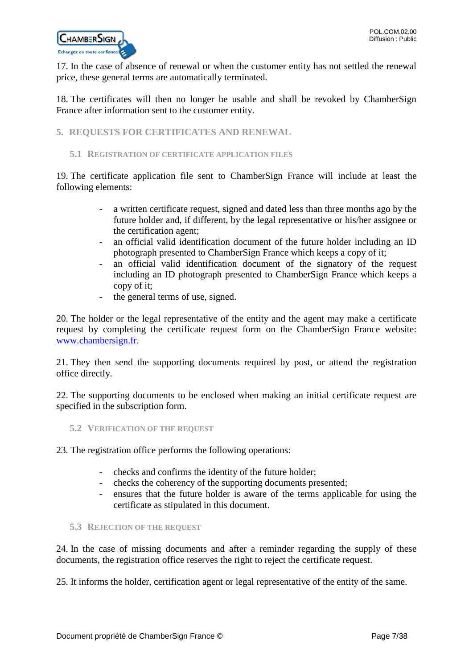

17. In the case of absence of renewal or when the customer entity has not settled the renewal price, these general terms are automatically terminated.

18. The certificates will then no longer be usable and shall be revoked by ChamberSign France after information sent to the customer entity.

# <span id="page-6-0"></span>**5. REQUESTS FOR CERTIFICATES AND RENEWAL**

#### <span id="page-6-1"></span>**5.1 REGISTRATION OF CERTIFICATE APPLICATION FILES**

19. The certificate application file sent to ChamberSign France will include at least the following elements:

- a written certificate request, signed and dated less than three months ago by the future holder and, if different, by the legal representative or his/her assignee or the certification agent;
- an official valid identification document of the future holder including an ID photograph presented to ChamberSign France which keeps a copy of it;
- an official valid identification document of the signatory of the request including an ID photograph presented to ChamberSign France which keeps a copy of it;
- the general terms of use, signed.

20. The holder or the legal representative of the entity and the agent may make a certificate request by completing the certificate request form on the ChamberSign France website: [www.chambersign.fr.](http://www.chambersign.fr/)

21. They then send the supporting documents required by post, or attend the registration office directly.

22. The supporting documents to be enclosed when making an initial certificate request are specified in the subscription form.

<span id="page-6-2"></span>**5.2 VERIFICATION OF THE REQUEST**

23. The registration office performs the following operations:

- checks and confirms the identity of the future holder;
- checks the coherency of the supporting documents presented;
- ensures that the future holder is aware of the terms applicable for using the certificate as stipulated in this document.

# <span id="page-6-3"></span>**5.3 REJECTION OF THE REQUEST**

24. In the case of missing documents and after a reminder regarding the supply of these documents, the registration office reserves the right to reject the certificate request.

25. It informs the holder, certification agent or legal representative of the entity of the same.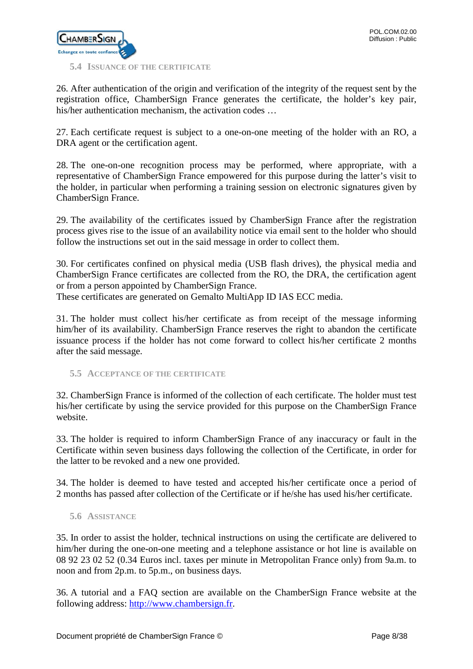

#### <span id="page-7-0"></span>**5.4 ISSUANCE OF THE CERTIFICATE**

26. After authentication of the origin and verification of the integrity of the request sent by the registration office, ChamberSign France generates the certificate, the holder's key pair, his/her authentication mechanism, the activation codes ...

27. Each certificate request is subject to a one-on-one meeting of the holder with an RO, a DRA agent or the certification agent.

28. The one-on-one recognition process may be performed, where appropriate, with a representative of ChamberSign France empowered for this purpose during the latter's visit to the holder, in particular when performing a training session on electronic signatures given by ChamberSign France.

29. The availability of the certificates issued by ChamberSign France after the registration process gives rise to the issue of an availability notice via email sent to the holder who should follow the instructions set out in the said message in order to collect them.

30. For certificates confined on physical media (USB flash drives), the physical media and ChamberSign France certificates are collected from the RO, the DRA, the certification agent or from a person appointed by ChamberSign France.

These certificates are generated on Gemalto MultiApp ID IAS ECC media.

31. The holder must collect his/her certificate as from receipt of the message informing him/her of its availability. ChamberSign France reserves the right to abandon the certificate issuance process if the holder has not come forward to collect his/her certificate 2 months after the said message.

<span id="page-7-1"></span>**5.5 ACCEPTANCE OF THE CERTIFICATE**

32. ChamberSign France is informed of the collection of each certificate. The holder must test his/her certificate by using the service provided for this purpose on the ChamberSign France website.

33. The holder is required to inform ChamberSign France of any inaccuracy or fault in the Certificate within seven business days following the collection of the Certificate, in order for the latter to be revoked and a new one provided.

34. The holder is deemed to have tested and accepted his/her certificate once a period of 2 months has passed after collection of the Certificate or if he/she has used his/her certificate.

# <span id="page-7-2"></span>**5.6 ASSISTANCE**

35. In order to assist the holder, technical instructions on using the certificate are delivered to him/her during the one-on-one meeting and a telephone assistance or hot line is available on 08 92 23 02 52 (0.34 Euros incl. taxes per minute in Metropolitan France only) from 9a.m. to noon and from 2p.m. to 5p.m., on business days.

36. A tutorial and a FAQ section are available on the ChamberSign France website at the following address: [http://www.chambersign.fr.](http://www.chambersign.fr/)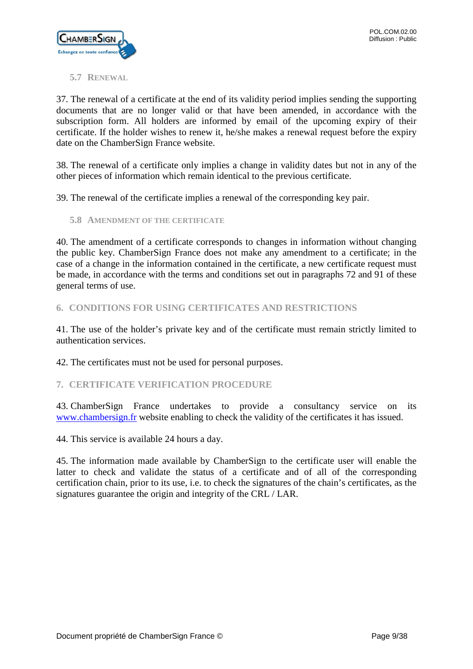

# <span id="page-8-0"></span>**5.7 RENEWAL**

37. The renewal of a certificate at the end of its validity period implies sending the supporting documents that are no longer valid or that have been amended, in accordance with the subscription form. All holders are informed by email of the upcoming expiry of their certificate. If the holder wishes to renew it, he/she makes a renewal request before the expiry date on the ChamberSign France website.

38. The renewal of a certificate only implies a change in validity dates but not in any of the other pieces of information which remain identical to the previous certificate.

39. The renewal of the certificate implies a renewal of the corresponding key pair.

<span id="page-8-1"></span>**5.8 AMENDMENT OF THE CERTIFICATE**

40. The amendment of a certificate corresponds to changes in information without changing the public key. ChamberSign France does not make any amendment to a certificate; in the case of a change in the information contained in the certificate, a new certificate request must be made, in accordance with the terms and conditions set out in paragraphs 72 and 91 of these general terms of use.

# <span id="page-8-2"></span>**6. CONDITIONS FOR USING CERTIFICATES AND RESTRICTIONS**

41. The use of the holder's private key and of the certificate must remain strictly limited to authentication services.

42. The certificates must not be used for personal purposes.

# <span id="page-8-3"></span>**7. CERTIFICATE VERIFICATION PROCEDURE**

43. ChamberSign France undertakes to provide a consultancy service on its [www.chambersign.fr](http://www.chambersign.fr/) website enabling to check the validity of the certificates it has issued.

44. This service is available 24 hours a day.

45. The information made available by ChamberSign to the certificate user will enable the latter to check and validate the status of a certificate and of all of the corresponding certification chain, prior to its use, i.e. to check the signatures of the chain's certificates, as the signatures guarantee the origin and integrity of the CRL / LAR.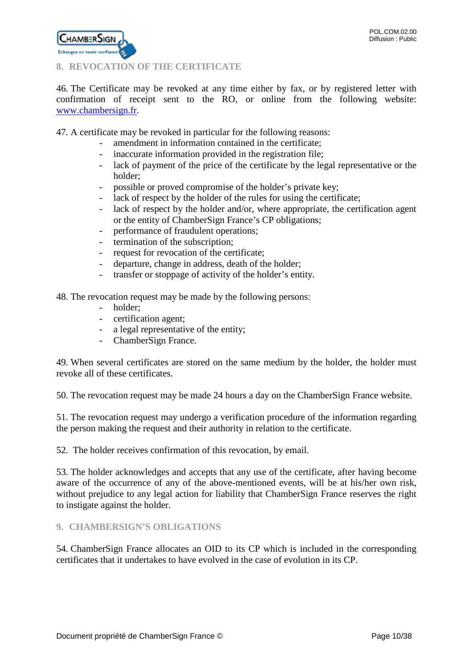

# <span id="page-9-0"></span>**8. REVOCATION OF THE CERTIFICATE**

46. The Certificate may be revoked at any time either by fax, or by registered letter with confirmation of receipt sent to the RO, or online from the following website: [www.chambersign.fr.](http://www.chambersign.fr/)

47. A certificate may be revoked in particular for the following reasons:

- amendment in information contained in the certificate;
- inaccurate information provided in the registration file;
- lack of payment of the price of the certificate by the legal representative or the holder;
- possible or proved compromise of the holder's private key;
- lack of respect by the holder of the rules for using the certificate;
- lack of respect by the holder and/or, where appropriate, the certification agent or the entity of ChamberSign France's CP obligations;
- performance of fraudulent operations;
- termination of the subscription;
- request for revocation of the certificate;
- departure, change in address, death of the holder;
- transfer or stoppage of activity of the holder's entity.

48. The revocation request may be made by the following persons:

- holder;
- certification agent;
- a legal representative of the entity;
- ChamberSign France.

49. When several certificates are stored on the same medium by the holder, the holder must revoke all of these certificates.

50. The revocation request may be made 24 hours a day on the ChamberSign France website.

51. The revocation request may undergo a verification procedure of the information regarding the person making the request and their authority in relation to the certificate.

52. The holder receives confirmation of this revocation, by email.

53. The holder acknowledges and accepts that any use of the certificate, after having become aware of the occurrence of any of the above-mentioned events, will be at his/her own risk, without prejudice to any legal action for liability that ChamberSign France reserves the right to instigate against the holder.

# <span id="page-9-1"></span>**9. CHAMBERSIGN'S OBLIGATIONS**

54. ChamberSign France allocates an OID to its CP which is included in the corresponding certificates that it undertakes to have evolved in the case of evolution in its CP.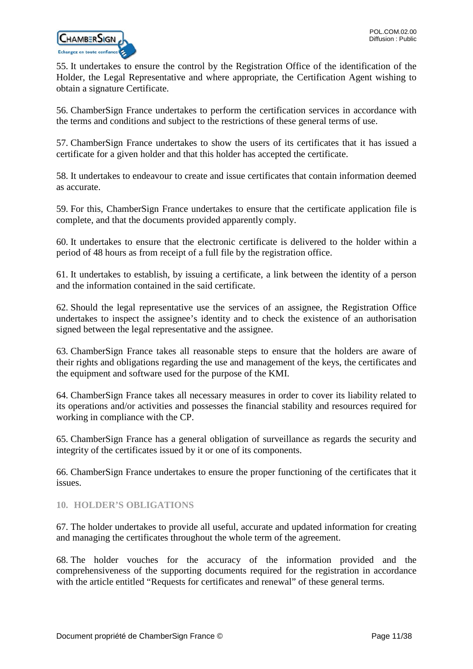

55. It undertakes to ensure the control by the Registration Office of the identification of the Holder, the Legal Representative and where appropriate, the Certification Agent wishing to obtain a signature Certificate.

56. ChamberSign France undertakes to perform the certification services in accordance with the terms and conditions and subject to the restrictions of these general terms of use.

57. ChamberSign France undertakes to show the users of its certificates that it has issued a certificate for a given holder and that this holder has accepted the certificate.

58. It undertakes to endeavour to create and issue certificates that contain information deemed as accurate.

59. For this, ChamberSign France undertakes to ensure that the certificate application file is complete, and that the documents provided apparently comply.

60. It undertakes to ensure that the electronic certificate is delivered to the holder within a period of 48 hours as from receipt of a full file by the registration office.

61. It undertakes to establish, by issuing a certificate, a link between the identity of a person and the information contained in the said certificate.

62. Should the legal representative use the services of an assignee, the Registration Office undertakes to inspect the assignee's identity and to check the existence of an authorisation signed between the legal representative and the assignee.

63. ChamberSign France takes all reasonable steps to ensure that the holders are aware of their rights and obligations regarding the use and management of the keys, the certificates and the equipment and software used for the purpose of the KMI.

64. ChamberSign France takes all necessary measures in order to cover its liability related to its operations and/or activities and possesses the financial stability and resources required for working in compliance with the CP.

65. ChamberSign France has a general obligation of surveillance as regards the security and integrity of the certificates issued by it or one of its components.

66. ChamberSign France undertakes to ensure the proper functioning of the certificates that it issues.

# <span id="page-10-0"></span>**10. HOLDER'S OBLIGATIONS**

67. The holder undertakes to provide all useful, accurate and updated information for creating and managing the certificates throughout the whole term of the agreement.

68. The holder vouches for the accuracy of the information provided and the comprehensiveness of the supporting documents required for the registration in accordance with the article entitled "Requests for certificates and renewal" of these general terms.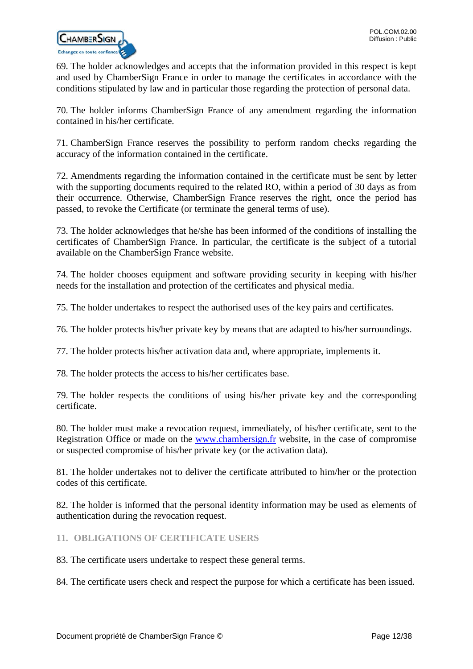

69. The holder acknowledges and accepts that the information provided in this respect is kept and used by ChamberSign France in order to manage the certificates in accordance with the conditions stipulated by law and in particular those regarding the protection of personal data.

70. The holder informs ChamberSign France of any amendment regarding the information contained in his/her certificate.

71. ChamberSign France reserves the possibility to perform random checks regarding the accuracy of the information contained in the certificate.

72. Amendments regarding the information contained in the certificate must be sent by letter with the supporting documents required to the related RO, within a period of 30 days as from their occurrence. Otherwise, ChamberSign France reserves the right, once the period has passed, to revoke the Certificate (or terminate the general terms of use).

73. The holder acknowledges that he/she has been informed of the conditions of installing the certificates of ChamberSign France. In particular, the certificate is the subject of a tutorial available on the ChamberSign France website.

74. The holder chooses equipment and software providing security in keeping with his/her needs for the installation and protection of the certificates and physical media.

75. The holder undertakes to respect the authorised uses of the key pairs and certificates.

76. The holder protects his/her private key by means that are adapted to his/her surroundings.

77. The holder protects his/her activation data and, where appropriate, implements it.

78. The holder protects the access to his/her certificates base.

79. The holder respects the conditions of using his/her private key and the corresponding certificate.

80. The holder must make a revocation request, immediately, of his/her certificate, sent to the Registration Office or made on the [www.chambersign.fr](http://www.chambersign.fr/) website, in the case of compromise or suspected compromise of his/her private key (or the activation data).

81. The holder undertakes not to deliver the certificate attributed to him/her or the protection codes of this certificate.

82. The holder is informed that the personal identity information may be used as elements of authentication during the revocation request.

# <span id="page-11-0"></span>**11. OBLIGATIONS OF CERTIFICATE USERS**

83. The certificate users undertake to respect these general terms.

84. The certificate users check and respect the purpose for which a certificate has been issued.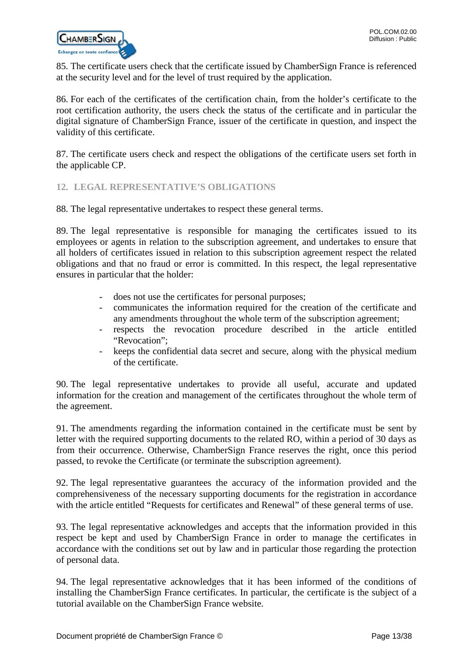

85. The certificate users check that the certificate issued by ChamberSign France is referenced at the security level and for the level of trust required by the application.

86. For each of the certificates of the certification chain, from the holder's certificate to the root certification authority, the users check the status of the certificate and in particular the digital signature of ChamberSign France, issuer of the certificate in question, and inspect the validity of this certificate.

87. The certificate users check and respect the obligations of the certificate users set forth in the applicable CP.

# <span id="page-12-0"></span>**12. LEGAL REPRESENTATIVE'S OBLIGATIONS**

88. The legal representative undertakes to respect these general terms.

89. The legal representative is responsible for managing the certificates issued to its employees or agents in relation to the subscription agreement, and undertakes to ensure that all holders of certificates issued in relation to this subscription agreement respect the related obligations and that no fraud or error is committed. In this respect, the legal representative ensures in particular that the holder:

- does not use the certificates for personal purposes;
- communicates the information required for the creation of the certificate and any amendments throughout the whole term of the subscription agreement;
- respects the revocation procedure described in the article entitled "Revocation":
- keeps the confidential data secret and secure, along with the physical medium of the certificate.

90. The legal representative undertakes to provide all useful, accurate and updated information for the creation and management of the certificates throughout the whole term of the agreement.

91. The amendments regarding the information contained in the certificate must be sent by letter with the required supporting documents to the related RO, within a period of 30 days as from their occurrence. Otherwise, ChamberSign France reserves the right, once this period passed, to revoke the Certificate (or terminate the subscription agreement).

92. The legal representative guarantees the accuracy of the information provided and the comprehensiveness of the necessary supporting documents for the registration in accordance with the article entitled "Requests for certificates and Renewal" of these general terms of use.

93. The legal representative acknowledges and accepts that the information provided in this respect be kept and used by ChamberSign France in order to manage the certificates in accordance with the conditions set out by law and in particular those regarding the protection of personal data.

94. The legal representative acknowledges that it has been informed of the conditions of installing the ChamberSign France certificates. In particular, the certificate is the subject of a tutorial available on the ChamberSign France website.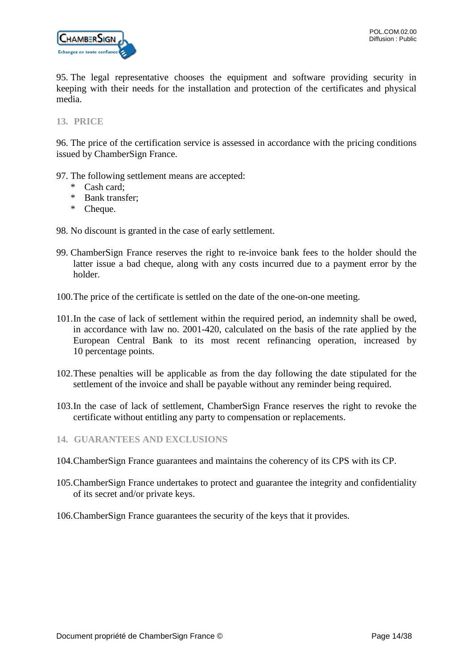

95. The legal representative chooses the equipment and software providing security in keeping with their needs for the installation and protection of the certificates and physical media.

<span id="page-13-0"></span>**13. PRICE**

96. The price of the certification service is assessed in accordance with the pricing conditions issued by ChamberSign France.

- 97. The following settlement means are accepted:
	- \* Cash card;
	- \* Bank transfer;
	- \* Cheque.
- 98. No discount is granted in the case of early settlement.
- 99. ChamberSign France reserves the right to re-invoice bank fees to the holder should the latter issue a bad cheque, along with any costs incurred due to a payment error by the holder.
- 100.The price of the certificate is settled on the date of the one-on-one meeting.
- 101.In the case of lack of settlement within the required period, an indemnity shall be owed, in accordance with law no. 2001-420, calculated on the basis of the rate applied by the European Central Bank to its most recent refinancing operation, increased by 10 percentage points.
- 102.These penalties will be applicable as from the day following the date stipulated for the settlement of the invoice and shall be payable without any reminder being required.
- 103.In the case of lack of settlement, ChamberSign France reserves the right to revoke the certificate without entitling any party to compensation or replacements.
- <span id="page-13-1"></span>**14. GUARANTEES AND EXCLUSIONS**
- 104.ChamberSign France guarantees and maintains the coherency of its CPS with its CP.
- 105.ChamberSign France undertakes to protect and guarantee the integrity and confidentiality of its secret and/or private keys.
- 106.ChamberSign France guarantees the security of the keys that it provides.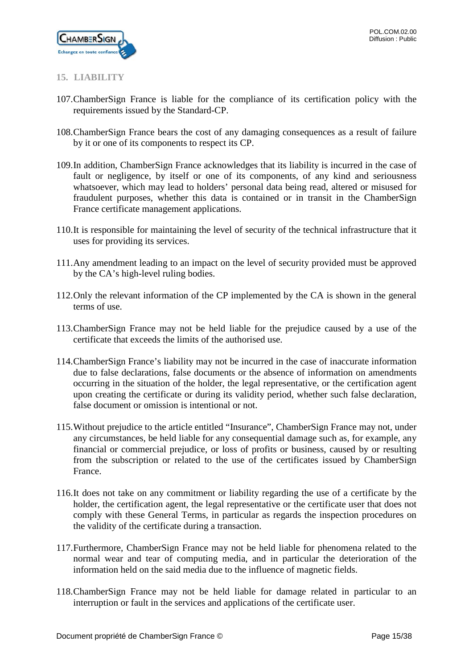

# <span id="page-14-0"></span>**15. LIABILITY**

- 107.ChamberSign France is liable for the compliance of its certification policy with the requirements issued by the Standard-CP.
- 108.ChamberSign France bears the cost of any damaging consequences as a result of failure by it or one of its components to respect its CP.
- 109.In addition, ChamberSign France acknowledges that its liability is incurred in the case of fault or negligence, by itself or one of its components, of any kind and seriousness whatsoever, which may lead to holders' personal data being read, altered or misused for fraudulent purposes, whether this data is contained or in transit in the ChamberSign France certificate management applications.
- 110.It is responsible for maintaining the level of security of the technical infrastructure that it uses for providing its services.
- 111.Any amendment leading to an impact on the level of security provided must be approved by the CA's high-level ruling bodies.
- 112.Only the relevant information of the CP implemented by the CA is shown in the general terms of use.
- 113.ChamberSign France may not be held liable for the prejudice caused by a use of the certificate that exceeds the limits of the authorised use.
- 114.ChamberSign France's liability may not be incurred in the case of inaccurate information due to false declarations, false documents or the absence of information on amendments occurring in the situation of the holder, the legal representative, or the certification agent upon creating the certificate or during its validity period, whether such false declaration, false document or omission is intentional or not.
- 115.Without prejudice to the article entitled "Insurance", ChamberSign France may not, under any circumstances, be held liable for any consequential damage such as, for example, any financial or commercial prejudice, or loss of profits or business, caused by or resulting from the subscription or related to the use of the certificates issued by ChamberSign France.
- 116.It does not take on any commitment or liability regarding the use of a certificate by the holder, the certification agent, the legal representative or the certificate user that does not comply with these General Terms, in particular as regards the inspection procedures on the validity of the certificate during a transaction.
- 117.Furthermore, ChamberSign France may not be held liable for phenomena related to the normal wear and tear of computing media, and in particular the deterioration of the information held on the said media due to the influence of magnetic fields.
- 118.ChamberSign France may not be held liable for damage related in particular to an interruption or fault in the services and applications of the certificate user.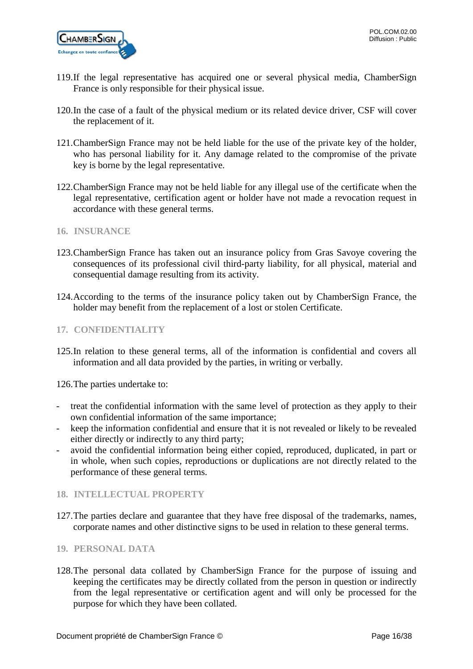

- 119.If the legal representative has acquired one or several physical media, ChamberSign France is only responsible for their physical issue.
- 120.In the case of a fault of the physical medium or its related device driver, CSF will cover the replacement of it.
- 121.ChamberSign France may not be held liable for the use of the private key of the holder, who has personal liability for it. Any damage related to the compromise of the private key is borne by the legal representative.
- 122.ChamberSign France may not be held liable for any illegal use of the certificate when the legal representative, certification agent or holder have not made a revocation request in accordance with these general terms.
- <span id="page-15-0"></span>**16. INSURANCE**
- 123.ChamberSign France has taken out an insurance policy from Gras Savoye covering the consequences of its professional civil third-party liability, for all physical, material and consequential damage resulting from its activity.
- 124.According to the terms of the insurance policy taken out by ChamberSign France, the holder may benefit from the replacement of a lost or stolen Certificate.
- <span id="page-15-1"></span>**17. CONFIDENTIALITY**
- 125.In relation to these general terms, all of the information is confidential and covers all information and all data provided by the parties, in writing or verbally.

126.The parties undertake to:

- treat the confidential information with the same level of protection as they apply to their own confidential information of the same importance;
- keep the information confidential and ensure that it is not revealed or likely to be revealed either directly or indirectly to any third party;
- avoid the confidential information being either copied, reproduced, duplicated, in part or in whole, when such copies, reproductions or duplications are not directly related to the performance of these general terms.

# <span id="page-15-2"></span>**18. INTELLECTUAL PROPERTY**

- 127.The parties declare and guarantee that they have free disposal of the trademarks, names, corporate names and other distinctive signs to be used in relation to these general terms.
- <span id="page-15-3"></span>**19. PERSONAL DATA**
- 128.The personal data collated by ChamberSign France for the purpose of issuing and keeping the certificates may be directly collated from the person in question or indirectly from the legal representative or certification agent and will only be processed for the purpose for which they have been collated.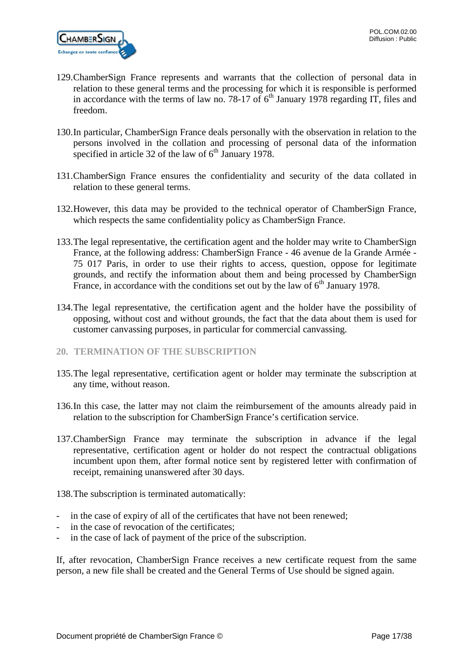

- 129.ChamberSign France represents and warrants that the collection of personal data in relation to these general terms and the processing for which it is responsible is performed in accordance with the terms of law no. 78-17 of  $6<sup>th</sup>$  January 1978 regarding IT, files and freedom.
- 130.In particular, ChamberSign France deals personally with the observation in relation to the persons involved in the collation and processing of personal data of the information specified in article 32 of the law of  $6<sup>th</sup>$  January 1978.
- 131.ChamberSign France ensures the confidentiality and security of the data collated in relation to these general terms.
- 132.However, this data may be provided to the technical operator of ChamberSign France, which respects the same confidentiality policy as ChamberSign France.
- 133.The legal representative, the certification agent and the holder may write to ChamberSign France, at the following address: ChamberSign France - 46 avenue de la Grande Armée - 75 017 Paris, in order to use their rights to access, question, oppose for legitimate grounds, and rectify the information about them and being processed by ChamberSign France, in accordance with the conditions set out by the law of  $6<sup>th</sup>$  January 1978.
- 134.The legal representative, the certification agent and the holder have the possibility of opposing, without cost and without grounds, the fact that the data about them is used for customer canvassing purposes, in particular for commercial canvassing.
- <span id="page-16-0"></span>**20. TERMINATION OF THE SUBSCRIPTION**
- 135.The legal representative, certification agent or holder may terminate the subscription at any time, without reason.
- 136.In this case, the latter may not claim the reimbursement of the amounts already paid in relation to the subscription for ChamberSign France's certification service.
- 137.ChamberSign France may terminate the subscription in advance if the legal representative, certification agent or holder do not respect the contractual obligations incumbent upon them, after formal notice sent by registered letter with confirmation of receipt, remaining unanswered after 30 days.

138.The subscription is terminated automatically:

- in the case of expiry of all of the certificates that have not been renewed;
- in the case of revocation of the certificates;
- in the case of lack of payment of the price of the subscription.

If, after revocation, ChamberSign France receives a new certificate request from the same person, a new file shall be created and the General Terms of Use should be signed again.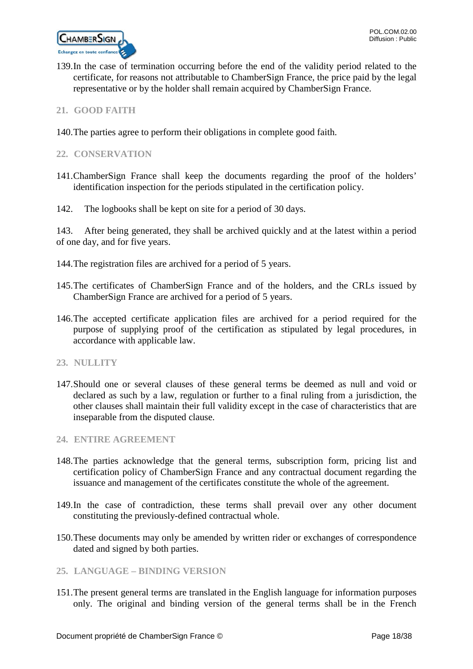

139.In the case of termination occurring before the end of the validity period related to the certificate, for reasons not attributable to ChamberSign France, the price paid by the legal representative or by the holder shall remain acquired by ChamberSign France.

# <span id="page-17-0"></span>**21. GOOD FAITH**

140.The parties agree to perform their obligations in complete good faith.

# <span id="page-17-1"></span>**22. CONSERVATION**

- 141.ChamberSign France shall keep the documents regarding the proof of the holders' identification inspection for the periods stipulated in the certification policy.
- 142. The logbooks shall be kept on site for a period of 30 days.

143. After being generated, they shall be archived quickly and at the latest within a period of one day, and for five years.

- 144.The registration files are archived for a period of 5 years.
- 145.The certificates of ChamberSign France and of the holders, and the CRLs issued by ChamberSign France are archived for a period of 5 years.
- 146.The accepted certificate application files are archived for a period required for the purpose of supplying proof of the certification as stipulated by legal procedures, in accordance with applicable law.

# <span id="page-17-2"></span>**23. NULLITY**

147.Should one or several clauses of these general terms be deemed as null and void or declared as such by a law, regulation or further to a final ruling from a jurisdiction, the other clauses shall maintain their full validity except in the case of characteristics that are inseparable from the disputed clause.

# <span id="page-17-3"></span>**24. ENTIRE AGREEMENT**

- 148.The parties acknowledge that the general terms, subscription form, pricing list and certification policy of ChamberSign France and any contractual document regarding the issuance and management of the certificates constitute the whole of the agreement.
- 149.In the case of contradiction, these terms shall prevail over any other document constituting the previously-defined contractual whole.
- 150.These documents may only be amended by written rider or exchanges of correspondence dated and signed by both parties.

# <span id="page-17-4"></span>**25. LANGUAGE – BINDING VERSION**

151.The present general terms are translated in the English language for information purposes only. The original and binding version of the general terms shall be in the French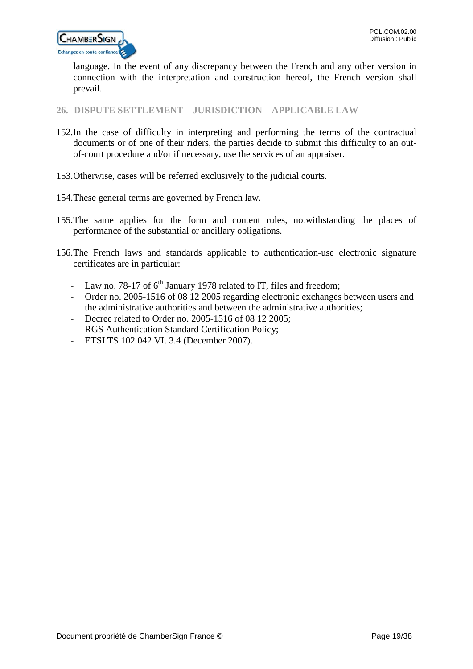

language. In the event of any discrepancy between the French and any other version in connection with the interpretation and construction hereof, the French version shall prevail.

<span id="page-18-0"></span>**26. DISPUTE SETTLEMENT – JURISDICTION – APPLICABLE LAW**

- 152.In the case of difficulty in interpreting and performing the terms of the contractual documents or of one of their riders, the parties decide to submit this difficulty to an outof-court procedure and/or if necessary, use the services of an appraiser.
- 153.Otherwise, cases will be referred exclusively to the judicial courts.
- 154.These general terms are governed by French law.
- 155.The same applies for the form and content rules, notwithstanding the places of performance of the substantial or ancillary obligations.
- 156.The French laws and standards applicable to authentication-use electronic signature certificates are in particular:
	- Law no. 78-17 of  $6<sup>th</sup>$  January 1978 related to IT, files and freedom;
	- Order no. 2005-1516 of 08 12 2005 regarding electronic exchanges between users and the administrative authorities and between the administrative authorities;
	- Decree related to Order no. 2005-1516 of 08 12 2005;
	- RGS Authentication Standard Certification Policy;
	- ETSI TS 102 042 VI. 3.4 (December 2007).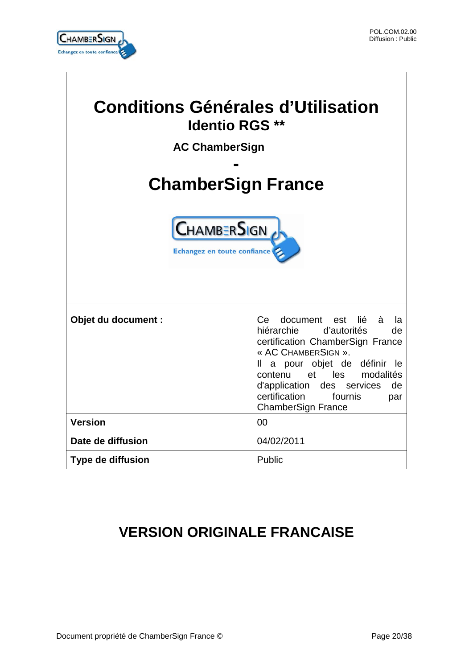

 $\overline{\phantom{a}}$ 

i

| <b>Conditions Générales d'Utilisation</b><br><b>Identio RGS **</b> |            |  |                     |                                                                                                                                                                                                                                                                                                        |
|--------------------------------------------------------------------|------------|--|---------------------|--------------------------------------------------------------------------------------------------------------------------------------------------------------------------------------------------------------------------------------------------------------------------------------------------------|
| <b>AC ChamberSign</b><br><b>ChamberSign France</b>                 |            |  |                     |                                                                                                                                                                                                                                                                                                        |
|                                                                    |            |  |                     | <b>CHAMBERSIGN</b><br>Echangez en toute confiance                                                                                                                                                                                                                                                      |
|                                                                    |            |  | Objet du document : | document est<br>à<br>Ce<br>lié<br>la<br>hiérarchie d'autorités<br>de<br>certification ChamberSign France<br>« AC CHAMBERSIGN ».<br>a pour objet de définir le<br>Ш.<br>et les modalités<br>contenu<br>d'application des services<br>de<br>certification<br>fournis<br>par<br><b>ChamberSign France</b> |
| <b>Version</b>                                                     | 00         |  |                     |                                                                                                                                                                                                                                                                                                        |
| Date de diffusion                                                  | 04/02/2011 |  |                     |                                                                                                                                                                                                                                                                                                        |
| Type de diffusion                                                  | Public     |  |                     |                                                                                                                                                                                                                                                                                                        |

# **VERSION ORIGINALE FRANCAISE**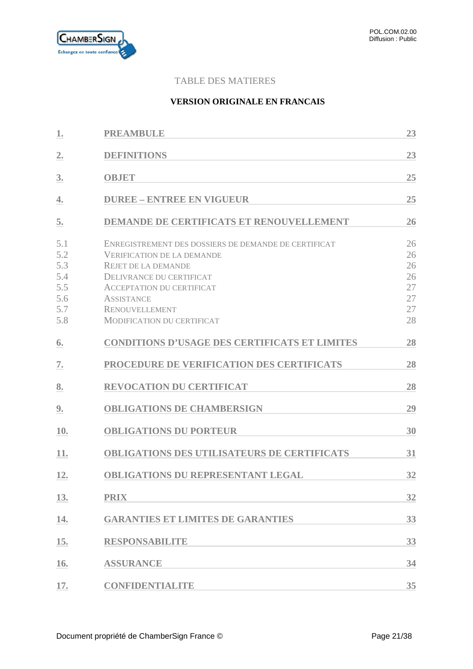

# TABLE DES MATIERES

# **VERSION ORIGINALE EN FRANCAIS**

| 1.                                                   | <b>PREAMBULE</b>                                                                                                                                                                                                                                                           | 23                                           |
|------------------------------------------------------|----------------------------------------------------------------------------------------------------------------------------------------------------------------------------------------------------------------------------------------------------------------------------|----------------------------------------------|
| $\mathbf{2}$ .                                       | <b>DEFINITIONS</b>                                                                                                                                                                                                                                                         | 23                                           |
| 3.                                                   | <b>OBJET</b>                                                                                                                                                                                                                                                               | 25                                           |
| 4.                                                   | <b>DUREE - ENTREE EN VIGUEUR</b>                                                                                                                                                                                                                                           | 25                                           |
| 5.                                                   | <b>DEMANDE DE CERTIFICATS ET RENOUVELLEMENT</b>                                                                                                                                                                                                                            | 26                                           |
| 5.1<br>5.2<br>5.3<br>5.4<br>5.5<br>5.6<br>5.7<br>5.8 | ENREGISTREMENT DES DOSSIERS DE DEMANDE DE CERTIFICAT<br><b>VERIFICATION DE LA DEMANDE</b><br><b>REJET DE LA DEMANDE</b><br>DELIVRANCE DU CERTIFICAT<br><b>ACCEPTATION DU CERTIFICAT</b><br><b>ASSISTANCE</b><br><b>RENOUVELLEMENT</b><br><b>MODIFICATION DU CERTIFICAT</b> | 26<br>26<br>26<br>26<br>27<br>27<br>27<br>28 |
| 6.                                                   | <b>CONDITIONS D'USAGE DES CERTIFICATS ET LIMITES</b>                                                                                                                                                                                                                       | 28                                           |
| 7.                                                   | PROCEDURE DE VERIFICATION DES CERTIFICATS                                                                                                                                                                                                                                  | 28                                           |
| 8.                                                   | <b>REVOCATION DU CERTIFICAT</b>                                                                                                                                                                                                                                            | 28                                           |
| 9.                                                   | <b>OBLIGATIONS DE CHAMBERSIGN</b>                                                                                                                                                                                                                                          | 29                                           |
| 10.                                                  | <b>OBLIGATIONS DU PORTEUR</b>                                                                                                                                                                                                                                              | 30                                           |
| 11.                                                  | <b>OBLIGATIONS DES UTILISATEURS DE CERTIFICATS</b>                                                                                                                                                                                                                         | 31                                           |
| 12.                                                  | <b>OBLIGATIONS DU REPRESENTANT LEGAL</b>                                                                                                                                                                                                                                   | 32                                           |
| 13.                                                  | <b>PRIX</b>                                                                                                                                                                                                                                                                | 32                                           |
| 14.                                                  | <b>GARANTIES ET LIMITES DE GARANTIES</b>                                                                                                                                                                                                                                   | 33                                           |
| 15.                                                  | <b>RESPONSABILITE</b>                                                                                                                                                                                                                                                      | 33                                           |
| 16.                                                  | <b>ASSURANCE</b>                                                                                                                                                                                                                                                           | 34                                           |
| 17.                                                  | <b>CONFIDENTIALITE</b>                                                                                                                                                                                                                                                     | 35                                           |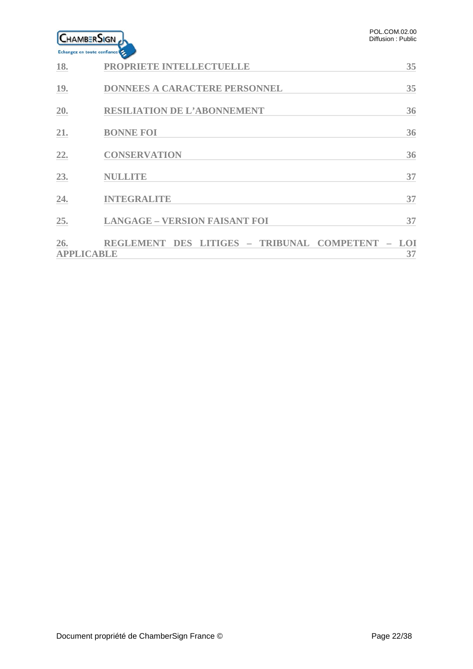| <b>CHAMBERSIGN</b>          |  |
|-----------------------------|--|
| Echangez en toute confiance |  |

| 18.                      | PROPRIETE INTELLECTUELLE                     | 35               |
|--------------------------|----------------------------------------------|------------------|
| 19.                      | DONNEES A CARACTERE PERSONNEL                | 35               |
| 20.                      | <b>RESILIATION DE L'ABONNEMENT</b>           | 36               |
| 21.                      | <b>BONNE FOI</b>                             | 36               |
| 22.                      | <b>CONSERVATION</b>                          | 36               |
| 23.                      | <b>NULLITE</b>                               | 37               |
| 24.                      | <b>INTEGRALITE</b>                           | 37               |
| 25.                      | <b>LANGAGE - VERSION FAISANT FOI</b>         | 37               |
| 26.<br><b>APPLICABLE</b> | REGLEMENT DES LITIGES - TRIBUNAL COMPETENT - | <b>LOI</b><br>37 |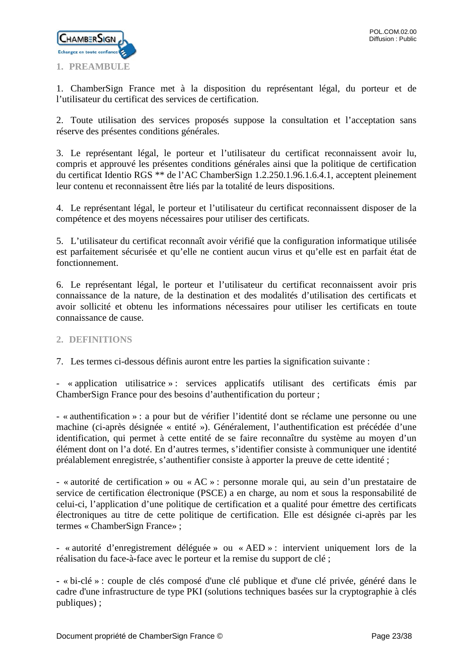

<span id="page-22-0"></span>1. ChamberSign France met à la disposition du représentant légal, du porteur et de l'utilisateur du certificat des services de certification.

2. Toute utilisation des services proposés suppose la consultation et l'acceptation sans réserve des présentes conditions générales.

3. Le représentant légal, le porteur et l'utilisateur du certificat reconnaissent avoir lu, compris et approuvé les présentes conditions générales ainsi que la politique de certification du certificat Identio RGS \*\* de l'AC ChamberSign 1.2.250.1.96.1.6.4.1, acceptent pleinement leur contenu et reconnaissent être liés par la totalité de leurs dispositions.

4. Le représentant légal, le porteur et l'utilisateur du certificat reconnaissent disposer de la compétence et des moyens nécessaires pour utiliser des certificats.

5. L'utilisateur du certificat reconnaît avoir vérifié que la configuration informatique utilisée est parfaitement sécurisée et qu'elle ne contient aucun virus et qu'elle est en parfait état de fonctionnement.

6. Le représentant légal, le porteur et l'utilisateur du certificat reconnaissent avoir pris connaissance de la nature, de la destination et des modalités d'utilisation des certificats et avoir sollicité et obtenu les informations nécessaires pour utiliser les certificats en toute connaissance de cause.

# <span id="page-22-1"></span>**2. DEFINITIONS**

7. Les termes ci-dessous définis auront entre les parties la signification suivante :

- « application utilisatrice » : services applicatifs utilisant des certificats émis par ChamberSign France pour des besoins d'authentification du porteur ;

- « authentification » : a pour but de vérifier l'identité dont se réclame une personne ou une machine (ci-après désignée « entité »). Généralement, l'authentification est précédée d'une identification, qui permet à cette entité de se faire reconnaître du système au moyen d'un élément dont on l'a doté. En d'autres termes, s'identifier consiste à communiquer une identité préalablement enregistrée, s'authentifier consiste à apporter la preuve de cette identité ;

- « autorité de certification » ou « AC » : personne morale qui, au sein d'un prestataire de service de certification électronique (PSCE) a en charge, au nom et sous la responsabilité de celui-ci, l'application d'une politique de certification et a qualité pour émettre des certificats électroniques au titre de cette politique de certification. Elle est désignée ci-après par les termes « ChamberSign France» ;

- « autorité d'enregistrement déléguée » ou « AED » : intervient uniquement lors de la réalisation du face-à-face avec le porteur et la remise du support de clé ;

**-** « bi-clé » : couple de clés composé d'une clé publique et d'une clé privée, généré dans le cadre d'une infrastructure de type PKI (solutions techniques basées sur la cryptographie à clés publiques) ;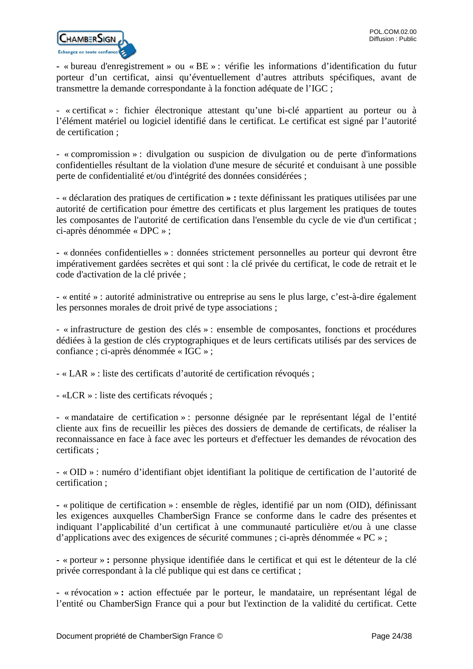

**-** « bureau d'enregistrement » ou « BE » : vérifie les informations d'identification du futur porteur d'un certificat, ainsi qu'éventuellement d'autres attributs spécifiques, avant de transmettre la demande correspondante à la fonction adéquate de l'IGC ;

- « certificat » : fichier électronique attestant qu'une bi-clé appartient au porteur ou à l'élément matériel ou logiciel identifié dans le certificat. Le certificat est signé par l'autorité de certification ;

- « compromission » : divulgation ou suspicion de divulgation ou de perte d'informations confidentielles résultant de la violation d'une mesure de sécurité et conduisant à une possible perte de confidentialité et/ou d'intégrité des données considérées ;

- « déclaration des pratiques de certification **» :** texte définissant les pratiques utilisées par une autorité de certification pour émettre des certificats et plus largement les pratiques de toutes les composantes de l'autorité de certification dans l'ensemble du cycle de vie d'un certificat ; ci-après dénommée « DPC » ;

**-** « données confidentielles » : données strictement personnelles au porteur qui devront être impérativement gardées secrètes et qui sont : la clé privée du certificat, le code de retrait et le code d'activation de la clé privée ;

- « entité » : autorité administrative ou entreprise au sens le plus large, c'est-à-dire également les personnes morales de droit privé de type associations ;

- « infrastructure de gestion des clés » : ensemble de composantes, fonctions et procédures dédiées à la gestion de clés cryptographiques et de leurs certificats utilisés par des services de confiance ; ci-après dénommée « IGC » ;

- « LAR » : liste des certificats d'autorité de certification révoqués ;

- «LCR » : liste des certificats révoqués ;

- « mandataire de certification » : personne désignée par le représentant légal de l'entité cliente aux fins de recueillir les pièces des dossiers de demande de certificats, de réaliser la reconnaissance en face à face avec les porteurs et d'effectuer les demandes de révocation des certificats ;

- « OID » : numéro d'identifiant objet identifiant la politique de certification de l'autorité de certification ;

**-** « politique de certification » : ensemble de règles, identifié par un nom (OID), définissant les exigences auxquelles ChamberSign France se conforme dans le cadre des présentes et indiquant l'applicabilité d'un certificat à une communauté particulière et/ou à une classe d'applications avec des exigences de sécurité communes ; ci-après dénommée « PC » ;

**-** « porteur » **:** personne physique identifiée dans le certificat et qui est le détenteur de la clé privée correspondant à la clé publique qui est dans ce certificat ;

**-** « révocation » **:** action effectuée par le porteur, le mandataire, un représentant légal de l'entité ou ChamberSign France qui a pour but l'extinction de la validité du certificat. Cette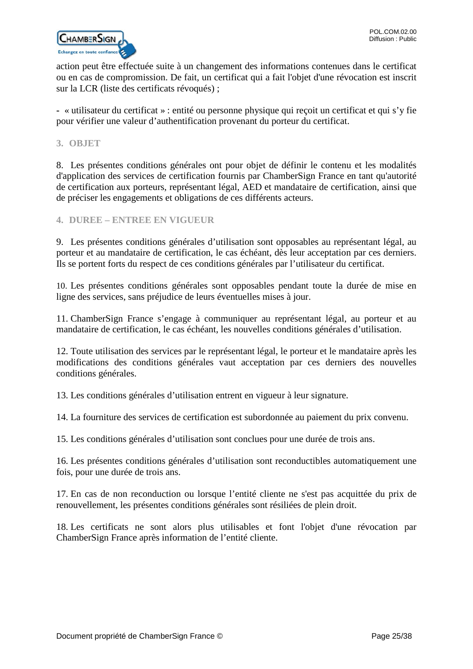

action peut être effectuée suite à un changement des informations contenues dans le certificat ou en cas de compromission. De fait, un certificat qui a fait l'objet d'une révocation est inscrit sur la LCR (liste des certificats révoqués) ;

**-** « utilisateur du certificat » : entité ou personne physique qui reçoit un certificat et qui s'y fie pour vérifier une valeur d'authentification provenant du porteur du certificat.

#### <span id="page-24-0"></span>**3. OBJET**

8. Les présentes conditions générales ont pour objet de définir le contenu et les modalités d'application des services de certification fournis par ChamberSign France en tant qu'autorité de certification aux porteurs, représentant légal, AED et mandataire de certification, ainsi que de préciser les engagements et obligations de ces différents acteurs.

# <span id="page-24-1"></span>**4. DUREE – ENTREE EN VIGUEUR**

9. Les présentes conditions générales d'utilisation sont opposables au représentant légal, au porteur et au mandataire de certification, le cas échéant, dès leur acceptation par ces derniers. Ils se portent forts du respect de ces conditions générales par l'utilisateur du certificat.

10. Les présentes conditions générales sont opposables pendant toute la durée de mise en ligne des services, sans préjudice de leurs éventuelles mises à jour.

11. ChamberSign France s'engage à communiquer au représentant légal, au porteur et au mandataire de certification, le cas échéant, les nouvelles conditions générales d'utilisation.

12. Toute utilisation des services par le représentant légal, le porteur et le mandataire après les modifications des conditions générales vaut acceptation par ces derniers des nouvelles conditions générales.

13. Les conditions générales d'utilisation entrent en vigueur à leur signature.

14. La fourniture des services de certification est subordonnée au paiement du prix convenu.

15. Les conditions générales d'utilisation sont conclues pour une durée de trois ans.

16. Les présentes conditions générales d'utilisation sont reconductibles automatiquement une fois, pour une durée de trois ans.

17. En cas de non reconduction ou lorsque l'entité cliente ne s'est pas acquittée du prix de renouvellement, les présentes conditions générales sont résiliées de plein droit.

18. Les certificats ne sont alors plus utilisables et font l'objet d'une révocation par ChamberSign France après information de l'entité cliente.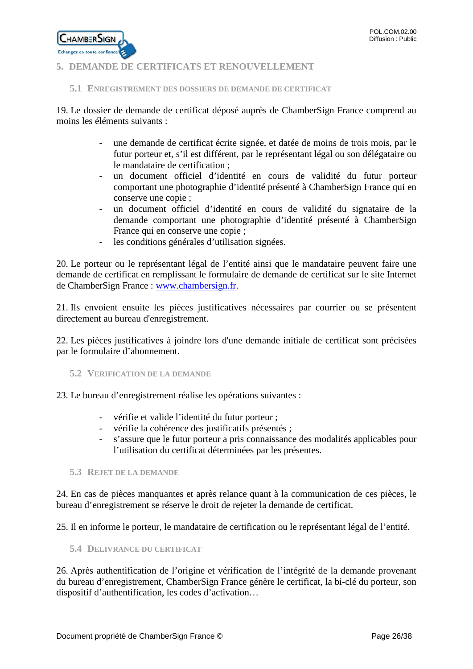

# <span id="page-25-0"></span>**5. DEMANDE DE CERTIFICATS ET RENOUVELLEMENT**

#### <span id="page-25-1"></span>**5.1 ENREGISTREMENT DES DOSSIERS DE DEMANDE DE CERTIFICAT**

19. Le dossier de demande de certificat déposé auprès de ChamberSign France comprend au moins les éléments suivants :

- une demande de certificat écrite signée, et datée de moins de trois mois, par le futur porteur et, s'il est différent, par le représentant légal ou son délégataire ou le mandataire de certification ;
- un document officiel d'identité en cours de validité du futur porteur comportant une photographie d'identité présenté à ChamberSign France qui en conserve une copie ;
- un document officiel d'identité en cours de validité du signataire de la demande comportant une photographie d'identité présenté à ChamberSign France qui en conserve une copie ;
- les conditions générales d'utilisation signées.

20. Le porteur ou le représentant légal de l'entité ainsi que le mandataire peuvent faire une demande de certificat en remplissant le formulaire de demande de certificat sur le site Internet de ChamberSign France : [www.chambersign.fr.](http://www.chambersign.fr/)

21. Ils envoient ensuite les pièces justificatives nécessaires par courrier ou se présentent directement au bureau d'enregistrement.

22. Les pièces justificatives à joindre lors d'une demande initiale de certificat sont précisées par le formulaire d'abonnement.

<span id="page-25-2"></span>**5.2 VERIFICATION DE LA DEMANDE**

23. Le bureau d'enregistrement réalise les opérations suivantes :

- vérifie et valide l'identité du futur porteur ;
- vérifie la cohérence des justificatifs présentés ;
- s'assure que le futur porteur a pris connaissance des modalités applicables pour l'utilisation du certificat déterminées par les présentes.

<span id="page-25-3"></span>**5.3 REJET DE LA DEMANDE**

24. En cas de pièces manquantes et après relance quant à la communication de ces pièces, le bureau d'enregistrement se réserve le droit de rejeter la demande de certificat.

25. Il en informe le porteur, le mandataire de certification ou le représentant légal de l'entité.

<span id="page-25-4"></span>**5.4 DELIVRANCE DU CERTIFICAT**

26. Après authentification de l'origine et vérification de l'intégrité de la demande provenant du bureau d'enregistrement, ChamberSign France génère le certificat, la bi-clé du porteur, son dispositif d'authentification, les codes d'activation…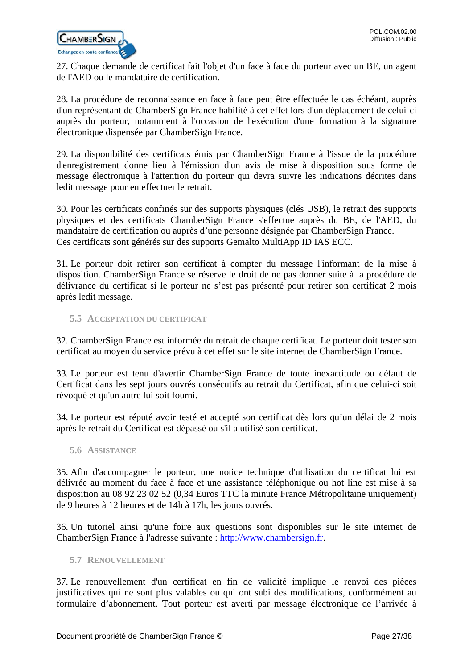

27. Chaque demande de certificat fait l'objet d'un face à face du porteur avec un BE, un agent de l'AED ou le mandataire de certification.

28. La procédure de reconnaissance en face à face peut être effectuée le cas échéant, auprès d'un représentant de ChamberSign France habilité à cet effet lors d'un déplacement de celui-ci auprès du porteur, notamment à l'occasion de l'exécution d'une formation à la signature électronique dispensée par ChamberSign France.

29. La disponibilité des certificats émis par ChamberSign France à l'issue de la procédure d'enregistrement donne lieu à l'émission d'un avis de mise à disposition sous forme de message électronique à l'attention du porteur qui devra suivre les indications décrites dans ledit message pour en effectuer le retrait.

30. Pour les certificats confinés sur des supports physiques (clés USB), le retrait des supports physiques et des certificats ChamberSign France s'effectue auprès du BE, de l'AED, du mandataire de certification ou auprès d'une personne désignée par ChamberSign France. Ces certificats sont générés sur des supports Gemalto MultiApp ID IAS ECC.

31. Le porteur doit retirer son certificat à compter du message l'informant de la mise à disposition. ChamberSign France se réserve le droit de ne pas donner suite à la procédure de délivrance du certificat si le porteur ne s'est pas présenté pour retirer son certificat 2 mois après ledit message.

<span id="page-26-0"></span>**5.5 ACCEPTATION DU CERTIFICAT**

32. ChamberSign France est informée du retrait de chaque certificat. Le porteur doit tester son certificat au moyen du service prévu à cet effet sur le site internet de ChamberSign France.

33. Le porteur est tenu d'avertir ChamberSign France de toute inexactitude ou défaut de Certificat dans les sept jours ouvrés consécutifs au retrait du Certificat, afin que celui-ci soit révoqué et qu'un autre lui soit fourni.

34. Le porteur est réputé avoir testé et accepté son certificat dès lors qu'un délai de 2 mois après le retrait du Certificat est dépassé ou s'il a utilisé son certificat.

<span id="page-26-1"></span>**5.6 ASSISTANCE**

35. Afin d'accompagner le porteur, une notice technique d'utilisation du certificat lui est délivrée au moment du face à face et une assistance téléphonique ou hot line est mise à sa disposition au 08 92 23 02 52 (0,34 Euros TTC la minute France Métropolitaine uniquement) de 9 heures à 12 heures et de 14h à 17h, les jours ouvrés.

36. Un tutoriel ainsi qu'une foire aux questions sont disponibles sur le site internet de ChamberSign France à l'adresse suivante : [http://www.chambersign.fr.](http://www.chambersign.fr/)

# <span id="page-26-2"></span>**5.7 RENOUVELLEMENT**

37. Le renouvellement d'un certificat en fin de validité implique le renvoi des pièces justificatives qui ne sont plus valables ou qui ont subi des modifications, conformément au formulaire d'abonnement. Tout porteur est averti par message électronique de l'arrivée à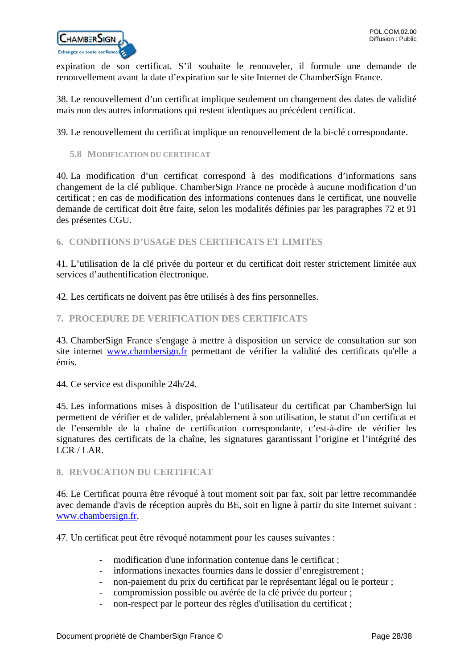

expiration de son certificat. S'il souhaite le renouveler, il formule une demande de renouvellement avant la date d'expiration sur le site Internet de ChamberSign France.

38. Le renouvellement d'un certificat implique seulement un changement des dates de validité mais non des autres informations qui restent identiques au précédent certificat.

39. Le renouvellement du certificat implique un renouvellement de la bi-clé correspondante.

<span id="page-27-0"></span>**5.8 MODIFICATION DU CERTIFICAT**

40. La modification d'un certificat correspond à des modifications d'informations sans changement de la clé publique. ChamberSign France ne procède à aucune modification d'un certificat ; en cas de modification des informations contenues dans le certificat, une nouvelle demande de certificat doit être faite, selon les modalités définies par les paragraphes 72 et 91 des présentes CGU.

<span id="page-27-1"></span>**6. CONDITIONS D'USAGE DES CERTIFICATS ET LIMITES**

41. L'utilisation de la clé privée du porteur et du certificat doit rester strictement limitée aux services d'authentification électronique.

42. Les certificats ne doivent pas être utilisés à des fins personnelles.

#### <span id="page-27-2"></span>**7. PROCEDURE DE VERIFICATION DES CERTIFICATS**

43. ChamberSign France s'engage à mettre à disposition un service de consultation sur son site internet [www.chambersign.fr](http://www.chambersign.fr/) permettant de vérifier la validité des certificats qu'elle a émis.

44. Ce service est disponible 24h/24.

45. Les informations mises à disposition de l'utilisateur du certificat par ChamberSign lui permettent de vérifier et de valider, préalablement à son utilisation, le statut d'un certificat et de l'ensemble de la chaîne de certification correspondante, c'est-à-dire de vérifier les signatures des certificats de la chaîne, les signatures garantissant l'origine et l'intégrité des LCR / LAR.

# <span id="page-27-3"></span>**8. REVOCATION DU CERTIFICAT**

46. Le Certificat pourra être révoqué à tout moment soit par fax, soit par lettre recommandée avec demande d'avis de réception auprès du BE, soit en ligne à partir du site Internet suivant : [www.chambersign.fr.](http://www.chambersign.fr/)

47. Un certificat peut être révoqué notamment pour les causes suivantes :

- modification d'une information contenue dans le certificat ;
- informations inexactes fournies dans le dossier d'enregistrement ;
- non-paiement du prix du certificat par le représentant légal ou le porteur ;
- compromission possible ou avérée de la clé privée du porteur ;
- non-respect par le porteur des règles d'utilisation du certificat ;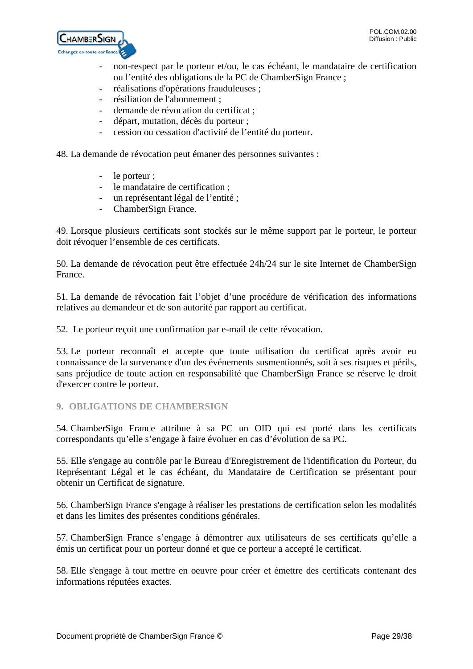

- non-respect par le porteur et/ou, le cas échéant, le mandataire de certification ou l'entité des obligations de la PC de ChamberSign France ;
- réalisations d'opérations frauduleuses ;
- résiliation de l'abonnement ;
- demande de révocation du certificat ;
- départ, mutation, décès du porteur ;
- cession ou cessation d'activité de l'entité du porteur.

48. La demande de révocation peut émaner des personnes suivantes :

- le porteur ;
- le mandataire de certification ;
- un représentant légal de l'entité ;
- ChamberSign France.

49. Lorsque plusieurs certificats sont stockés sur le même support par le porteur, le porteur doit révoquer l'ensemble de ces certificats.

50. La demande de révocation peut être effectuée 24h/24 sur le site Internet de ChamberSign France.

51. La demande de révocation fait l'objet d'une procédure de vérification des informations relatives au demandeur et de son autorité par rapport au certificat.

52. Le porteur reçoit une confirmation par e-mail de cette révocation.

53. Le porteur reconnaît et accepte que toute utilisation du certificat après avoir eu connaissance de la survenance d'un des événements susmentionnés, soit à ses risques et périls, sans préjudice de toute action en responsabilité que ChamberSign France se réserve le droit d'exercer contre le porteur.

# <span id="page-28-0"></span>**9. OBLIGATIONS DE CHAMBERSIGN**

54. ChamberSign France attribue à sa PC un OID qui est porté dans les certificats correspondants qu'elle s'engage à faire évoluer en cas d'évolution de sa PC.

55. Elle s'engage au contrôle par le Bureau d'Enregistrement de l'identification du Porteur, du Représentant Légal et le cas échéant, du Mandataire de Certification se présentant pour obtenir un Certificat de signature.

56. ChamberSign France s'engage à réaliser les prestations de certification selon les modalités et dans les limites des présentes conditions générales.

57. ChamberSign France s'engage à démontrer aux utilisateurs de ses certificats qu'elle a émis un certificat pour un porteur donné et que ce porteur a accepté le certificat.

58. Elle s'engage à tout mettre en oeuvre pour créer et émettre des certificats contenant des informations réputées exactes.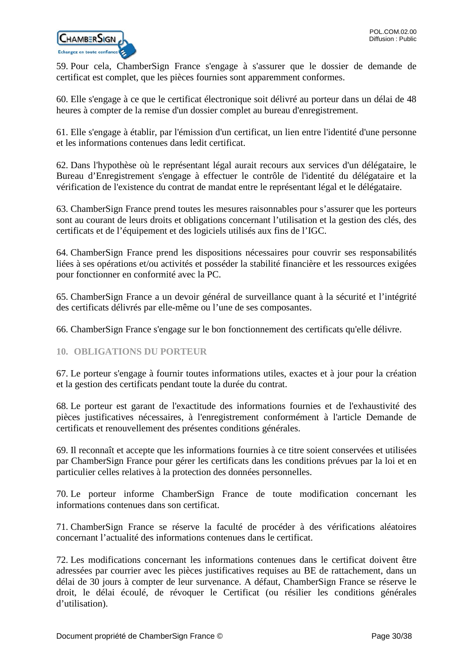

59. Pour cela, ChamberSign France s'engage à s'assurer que le dossier de demande de certificat est complet, que les pièces fournies sont apparemment conformes.

60. Elle s'engage à ce que le certificat électronique soit délivré au porteur dans un délai de 48 heures à compter de la remise d'un dossier complet au bureau d'enregistrement.

61. Elle s'engage à établir, par l'émission d'un certificat, un lien entre l'identité d'une personne et les informations contenues dans ledit certificat.

62. Dans l'hypothèse où le représentant légal aurait recours aux services d'un délégataire, le Bureau d'Enregistrement s'engage à effectuer le contrôle de l'identité du délégataire et la vérification de l'existence du contrat de mandat entre le représentant légal et le délégataire.

63. ChamberSign France prend toutes les mesures raisonnables pour s'assurer que les porteurs sont au courant de leurs droits et obligations concernant l'utilisation et la gestion des clés, des certificats et de l'équipement et des logiciels utilisés aux fins de l'IGC.

64. ChamberSign France prend les dispositions nécessaires pour couvrir ses responsabilités liées à ses opérations et/ou activités et posséder la stabilité financière et les ressources exigées pour fonctionner en conformité avec la PC.

65. ChamberSign France a un devoir général de surveillance quant à la sécurité et l'intégrité des certificats délivrés par elle-même ou l'une de ses composantes.

66. ChamberSign France s'engage sur le bon fonctionnement des certificats qu'elle délivre.

# <span id="page-29-0"></span>**10. OBLIGATIONS DU PORTEUR**

67. Le porteur s'engage à fournir toutes informations utiles, exactes et à jour pour la création et la gestion des certificats pendant toute la durée du contrat.

68. Le porteur est garant de l'exactitude des informations fournies et de l'exhaustivité des pièces justificatives nécessaires, à l'enregistrement conformément à l'article Demande de certificats et renouvellement des présentes conditions générales.

69. Il reconnaît et accepte que les informations fournies à ce titre soient conservées et utilisées par ChamberSign France pour gérer les certificats dans les conditions prévues par la loi et en particulier celles relatives à la protection des données personnelles.

70. Le porteur informe ChamberSign France de toute modification concernant les informations contenues dans son certificat.

71. ChamberSign France se réserve la faculté de procéder à des vérifications aléatoires concernant l'actualité des informations contenues dans le certificat.

72. Les modifications concernant les informations contenues dans le certificat doivent être adressées par courrier avec les pièces justificatives requises au BE de rattachement, dans un délai de 30 jours à compter de leur survenance. A défaut, ChamberSign France se réserve le droit, le délai écoulé, de révoquer le Certificat (ou résilier les conditions générales d'utilisation).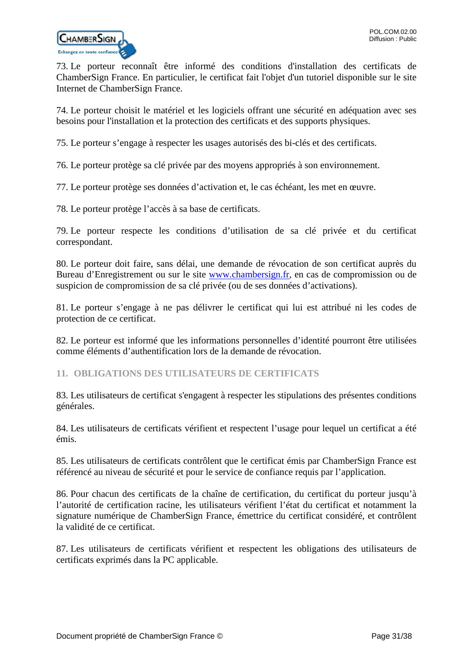

73. Le porteur reconnaît être informé des conditions d'installation des certificats de ChamberSign France. En particulier, le certificat fait l'objet d'un tutoriel disponible sur le site Internet de ChamberSign France.

74. Le porteur choisit le matériel et les logiciels offrant une sécurité en adéquation avec ses besoins pour l'installation et la protection des certificats et des supports physiques.

75. Le porteur s'engage à respecter les usages autorisés des bi-clés et des certificats.

76. Le porteur protège sa clé privée par des moyens appropriés à son environnement.

77. Le porteur protège ses données d'activation et, le cas échéant, les met en œuvre.

78. Le porteur protège l'accès à sa base de certificats.

79. Le porteur respecte les conditions d'utilisation de sa clé privée et du certificat correspondant.

80. Le porteur doit faire, sans délai, une demande de révocation de son certificat auprès du Bureau d'Enregistrement ou sur le site [www.chambersign.fr,](http://www.chambersign.fr/) en cas de compromission ou de suspicion de compromission de sa clé privée (ou de ses données d'activations).

81. Le porteur s'engage à ne pas délivrer le certificat qui lui est attribué ni les codes de protection de ce certificat.

82. Le porteur est informé que les informations personnelles d'identité pourront être utilisées comme éléments d'authentification lors de la demande de révocation.

<span id="page-30-0"></span>**11. OBLIGATIONS DES UTILISATEURS DE CERTIFICATS**

83. Les utilisateurs de certificat s'engagent à respecter les stipulations des présentes conditions générales.

84. Les utilisateurs de certificats vérifient et respectent l'usage pour lequel un certificat a été émis.

85. Les utilisateurs de certificats contrôlent que le certificat émis par ChamberSign France est référencé au niveau de sécurité et pour le service de confiance requis par l'application.

86. Pour chacun des certificats de la chaîne de certification, du certificat du porteur jusqu'à l'autorité de certification racine, les utilisateurs vérifient l'état du certificat et notamment la signature numérique de ChamberSign France, émettrice du certificat considéré, et contrôlent la validité de ce certificat.

87. Les utilisateurs de certificats vérifient et respectent les obligations des utilisateurs de certificats exprimés dans la PC applicable.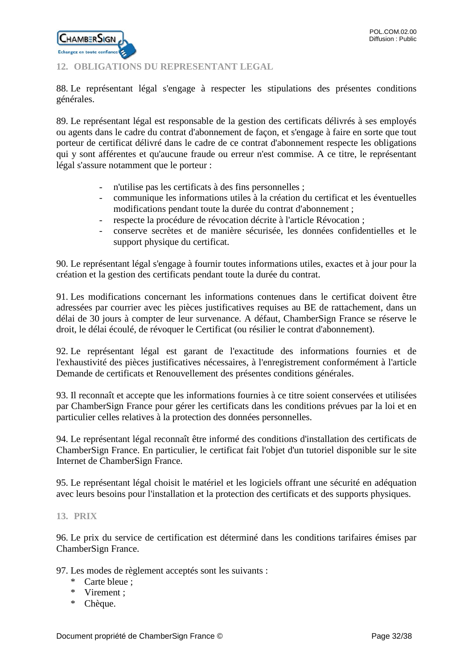

# <span id="page-31-0"></span>**12. OBLIGATIONS DU REPRESENTANT LEGAL**

88. Le représentant légal s'engage à respecter les stipulations des présentes conditions générales.

89. Le représentant légal est responsable de la gestion des certificats délivrés à ses employés ou agents dans le cadre du contrat d'abonnement de façon, et s'engage à faire en sorte que tout porteur de certificat délivré dans le cadre de ce contrat d'abonnement respecte les obligations qui y sont afférentes et qu'aucune fraude ou erreur n'est commise. A ce titre, le représentant légal s'assure notamment que le porteur :

- n'utilise pas les certificats à des fins personnelles ;
- communique les informations utiles à la création du certificat et les éventuelles modifications pendant toute la durée du contrat d'abonnement ;
- respecte la procédure de révocation décrite à l'article Révocation ;
- conserve secrètes et de manière sécurisée, les données confidentielles et le support physique du certificat.

90. Le représentant légal s'engage à fournir toutes informations utiles, exactes et à jour pour la création et la gestion des certificats pendant toute la durée du contrat.

91. Les modifications concernant les informations contenues dans le certificat doivent être adressées par courrier avec les pièces justificatives requises au BE de rattachement, dans un délai de 30 jours à compter de leur survenance. A défaut, ChamberSign France se réserve le droit, le délai écoulé, de révoquer le Certificat (ou résilier le contrat d'abonnement).

92. Le représentant légal est garant de l'exactitude des informations fournies et de l'exhaustivité des pièces justificatives nécessaires, à l'enregistrement conformément à l'article Demande de certificats et Renouvellement des présentes conditions générales.

93. Il reconnaît et accepte que les informations fournies à ce titre soient conservées et utilisées par ChamberSign France pour gérer les certificats dans les conditions prévues par la loi et en particulier celles relatives à la protection des données personnelles.

94. Le représentant légal reconnaît être informé des conditions d'installation des certificats de ChamberSign France. En particulier, le certificat fait l'objet d'un tutoriel disponible sur le site Internet de ChamberSign France.

95. Le représentant légal choisit le matériel et les logiciels offrant une sécurité en adéquation avec leurs besoins pour l'installation et la protection des certificats et des supports physiques.

# <span id="page-31-1"></span>**13. PRIX**

96. Le prix du service de certification est déterminé dans les conditions tarifaires émises par ChamberSign France.

97. Les modes de règlement acceptés sont les suivants :

- \* Carte bleue ;
- \* Virement ;
- \* Chèque.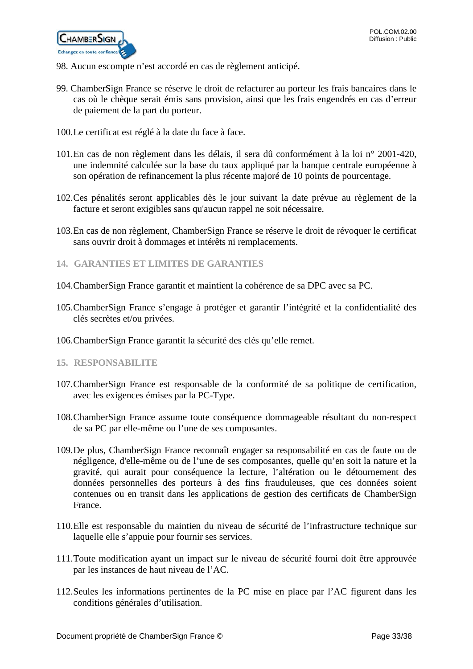

- 98. Aucun escompte n'est accordé en cas de règlement anticipé.
- 99. ChamberSign France se réserve le droit de refacturer au porteur les frais bancaires dans le cas où le chèque serait émis sans provision, ainsi que les frais engendrés en cas d'erreur de paiement de la part du porteur.
- 100.Le certificat est réglé à la date du face à face.
- 101.En cas de non règlement dans les délais, il sera dû conformément à la loi n° 2001-420, une indemnité calculée sur la base du taux appliqué par la banque centrale européenne à son opération de refinancement la plus récente majoré de 10 points de pourcentage.
- 102.Ces pénalités seront applicables dès le jour suivant la date prévue au règlement de la facture et seront exigibles sans qu'aucun rappel ne soit nécessaire.
- 103.En cas de non règlement, ChamberSign France se réserve le droit de révoquer le certificat sans ouvrir droit à dommages et intérêts ni remplacements.
- <span id="page-32-0"></span>**14. GARANTIES ET LIMITES DE GARANTIES**
- 104.ChamberSign France garantit et maintient la cohérence de sa DPC avec sa PC.
- 105.ChamberSign France s'engage à protéger et garantir l'intégrité et la confidentialité des clés secrètes et/ou privées.
- 106.ChamberSign France garantit la sécurité des clés qu'elle remet.
- <span id="page-32-1"></span>**15. RESPONSABILITE**
- 107.ChamberSign France est responsable de la conformité de sa politique de certification, avec les exigences émises par la PC-Type.
- 108.ChamberSign France assume toute conséquence dommageable résultant du non-respect de sa PC par elle-même ou l'une de ses composantes.
- 109.De plus, ChamberSign France reconnaît engager sa responsabilité en cas de faute ou de négligence, d'elle-même ou de l'une de ses composantes, quelle qu'en soit la nature et la gravité, qui aurait pour conséquence la lecture, l'altération ou le détournement des données personnelles des porteurs à des fins frauduleuses, que ces données soient contenues ou en transit dans les applications de gestion des certificats de ChamberSign France.
- 110.Elle est responsable du maintien du niveau de sécurité de l'infrastructure technique sur laquelle elle s'appuie pour fournir ses services.
- 111.Toute modification ayant un impact sur le niveau de sécurité fourni doit être approuvée par les instances de haut niveau de l'AC.
- 112.Seules les informations pertinentes de la PC mise en place par l'AC figurent dans les conditions générales d'utilisation.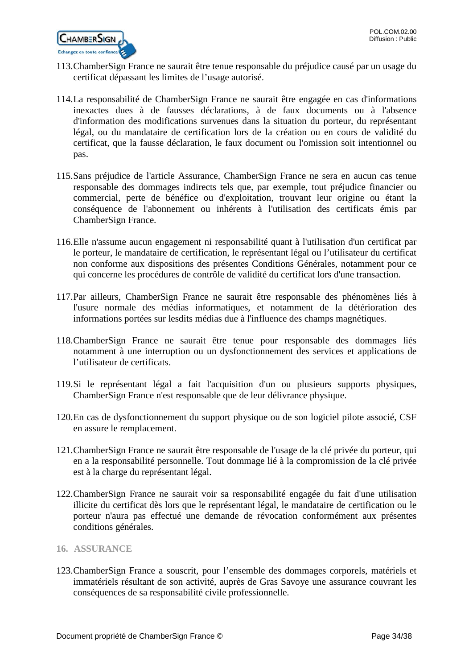

- 113.ChamberSign France ne saurait être tenue responsable du préjudice causé par un usage du certificat dépassant les limites de l'usage autorisé.
- 114.La responsabilité de ChamberSign France ne saurait être engagée en cas d'informations inexactes dues à de fausses déclarations, à de faux documents ou à l'absence d'information des modifications survenues dans la situation du porteur, du représentant légal, ou du mandataire de certification lors de la création ou en cours de validité du certificat, que la fausse déclaration, le faux document ou l'omission soit intentionnel ou pas.
- 115.Sans préjudice de l'article Assurance, ChamberSign France ne sera en aucun cas tenue responsable des dommages indirects tels que, par exemple, tout préjudice financier ou commercial, perte de bénéfice ou d'exploitation, trouvant leur origine ou étant la conséquence de l'abonnement ou inhérents à l'utilisation des certificats émis par ChamberSign France.
- 116.Elle n'assume aucun engagement ni responsabilité quant à l'utilisation d'un certificat par le porteur, le mandataire de certification, le représentant légal ou l'utilisateur du certificat non conforme aux dispositions des présentes Conditions Générales, notamment pour ce qui concerne les procédures de contrôle de validité du certificat lors d'une transaction.
- 117.Par ailleurs, ChamberSign France ne saurait être responsable des phénomènes liés à l'usure normale des médias informatiques, et notamment de la détérioration des informations portées sur lesdits médias due à l'influence des champs magnétiques.
- 118.ChamberSign France ne saurait être tenue pour responsable des dommages liés notamment à une interruption ou un dysfonctionnement des services et applications de l'utilisateur de certificats.
- 119.Si le représentant légal a fait l'acquisition d'un ou plusieurs supports physiques, ChamberSign France n'est responsable que de leur délivrance physique.
- 120.En cas de dysfonctionnement du support physique ou de son logiciel pilote associé, CSF en assure le remplacement.
- 121.ChamberSign France ne saurait être responsable de l'usage de la clé privée du porteur, qui en a la responsabilité personnelle. Tout dommage lié à la compromission de la clé privée est à la charge du représentant légal.
- 122.ChamberSign France ne saurait voir sa responsabilité engagée du fait d'une utilisation illicite du certificat dès lors que le représentant légal, le mandataire de certification ou le porteur n'aura pas effectué une demande de révocation conformément aux présentes conditions générales.
- <span id="page-33-0"></span>**16. ASSURANCE**
- 123.ChamberSign France a souscrit, pour l'ensemble des dommages corporels, matériels et immatériels résultant de son activité, auprès de Gras Savoye une assurance couvrant les conséquences de sa responsabilité civile professionnelle.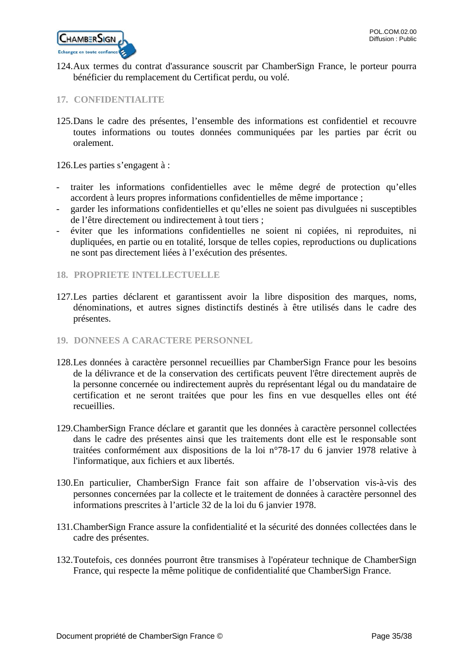

124.Aux termes du contrat d'assurance souscrit par ChamberSign France, le porteur pourra bénéficier du remplacement du Certificat perdu, ou volé.

# <span id="page-34-0"></span>**17. CONFIDENTIALITE**

125.Dans le cadre des présentes, l'ensemble des informations est confidentiel et recouvre toutes informations ou toutes données communiquées par les parties par écrit ou oralement.

126.Les parties s'engagent à :

- traiter les informations confidentielles avec le même degré de protection qu'elles accordent à leurs propres informations confidentielles de même importance ;
- garder les informations confidentielles et qu'elles ne soient pas divulguées ni susceptibles de l'être directement ou indirectement à tout tiers ;
- éviter que les informations confidentielles ne soient ni copiées, ni reproduites, ni dupliquées, en partie ou en totalité, lorsque de telles copies, reproductions ou duplications ne sont pas directement liées à l'exécution des présentes.

#### <span id="page-34-1"></span>**18. PROPRIETE INTELLECTUELLE**

- 127.Les parties déclarent et garantissent avoir la libre disposition des marques, noms, dénominations, et autres signes distinctifs destinés à être utilisés dans le cadre des présentes.
- <span id="page-34-2"></span>**19. DONNEES A CARACTERE PERSONNEL**
- 128.Les données à caractère personnel recueillies par ChamberSign France pour les besoins de la délivrance et de la conservation des certificats peuvent l'être directement auprès de la personne concernée ou indirectement auprès du représentant légal ou du mandataire de certification et ne seront traitées que pour les fins en vue desquelles elles ont été recueillies.
- 129.ChamberSign France déclare et garantit que les données à caractère personnel collectées dans le cadre des présentes ainsi que les traitements dont elle est le responsable sont traitées conformément aux dispositions de la loi n°78-17 du 6 janvier 1978 relative à l'informatique, aux fichiers et aux libertés.
- 130.En particulier, ChamberSign France fait son affaire de l'observation vis-à-vis des personnes concernées par la collecte et le traitement de données à caractère personnel des informations prescrites à l'article 32 de la loi du 6 janvier 1978.
- 131.ChamberSign France assure la confidentialité et la sécurité des données collectées dans le cadre des présentes.
- 132.Toutefois, ces données pourront être transmises à l'opérateur technique de ChamberSign France, qui respecte la même politique de confidentialité que ChamberSign France.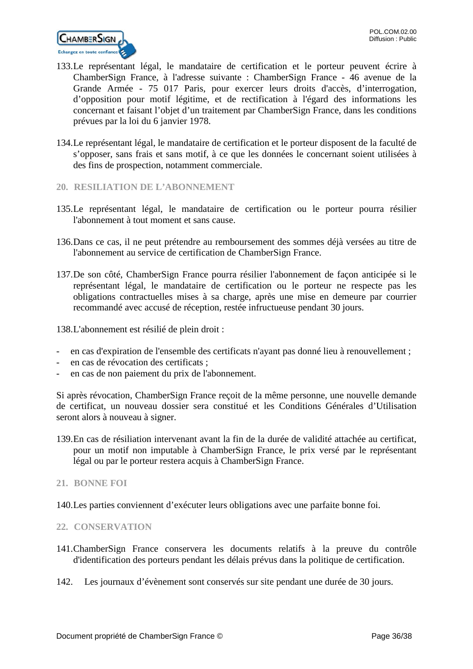

- 133.Le représentant légal, le mandataire de certification et le porteur peuvent écrire à ChamberSign France, à l'adresse suivante : ChamberSign France - 46 avenue de la Grande Armée - 75 017 Paris, pour exercer leurs droits d'accès, d'interrogation, d'opposition pour motif légitime, et de rectification à l'égard des informations les concernant et faisant l'objet d'un traitement par ChamberSign France, dans les conditions prévues par la loi du 6 janvier 1978.
- 134.Le représentant légal, le mandataire de certification et le porteur disposent de la faculté de s'opposer, sans frais et sans motif, à ce que les données le concernant soient utilisées à des fins de prospection, notamment commerciale.
- <span id="page-35-0"></span>**20. RESILIATION DE L'ABONNEMENT**
- 135.Le représentant légal, le mandataire de certification ou le porteur pourra résilier l'abonnement à tout moment et sans cause.
- 136.Dans ce cas, il ne peut prétendre au remboursement des sommes déjà versées au titre de l'abonnement au service de certification de ChamberSign France.
- 137.De son côté, ChamberSign France pourra résilier l'abonnement de façon anticipée si le représentant légal, le mandataire de certification ou le porteur ne respecte pas les obligations contractuelles mises à sa charge, après une mise en demeure par courrier recommandé avec accusé de réception, restée infructueuse pendant 30 jours.

138.L'abonnement est résilié de plein droit :

- en cas d'expiration de l'ensemble des certificats n'ayant pas donné lieu à renouvellement ;
- en cas de révocation des certificats ;
- en cas de non paiement du prix de l'abonnement.

Si après révocation, ChamberSign France reçoit de la même personne, une nouvelle demande de certificat, un nouveau dossier sera constitué et les Conditions Générales d'Utilisation seront alors à nouveau à signer.

- 139.En cas de résiliation intervenant avant la fin de la durée de validité attachée au certificat, pour un motif non imputable à ChamberSign France, le prix versé par le représentant légal ou par le porteur restera acquis à ChamberSign France.
- <span id="page-35-1"></span>**21. BONNE FOI**
- 140.Les parties conviennent d'exécuter leurs obligations avec une parfaite bonne foi.

# <span id="page-35-2"></span>**22. CONSERVATION**

- 141.ChamberSign France conservera les documents relatifs à la preuve du contrôle d'identification des porteurs pendant les délais prévus dans la politique de certification.
- 142. Les journaux d'évènement sont conservés sur site pendant une durée de 30 jours.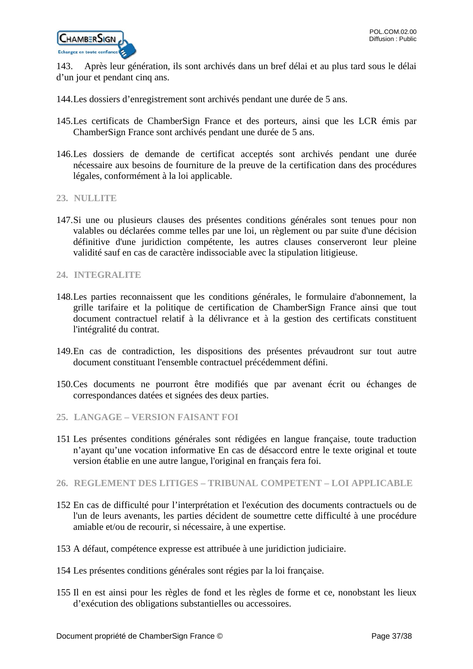

143. Après leur génération, ils sont archivés dans un bref délai et au plus tard sous le délai d'un jour et pendant cinq ans.

- 144.Les dossiers d'enregistrement sont archivés pendant une durée de 5 ans.
- 145.Les certificats de ChamberSign France et des porteurs, ainsi que les LCR émis par ChamberSign France sont archivés pendant une durée de 5 ans.
- 146.Les dossiers de demande de certificat acceptés sont archivés pendant une durée nécessaire aux besoins de fourniture de la preuve de la certification dans des procédures légales, conformément à la loi applicable.
- <span id="page-36-0"></span>**23. NULLITE**
- 147.Si une ou plusieurs clauses des présentes conditions générales sont tenues pour non valables ou déclarées comme telles par une loi, un règlement ou par suite d'une décision définitive d'une juridiction compétente, les autres clauses conserveront leur pleine validité sauf en cas de caractère indissociable avec la stipulation litigieuse.
- <span id="page-36-1"></span>**24. INTEGRALITE**
- 148.Les parties reconnaissent que les conditions générales, le formulaire d'abonnement, la grille tarifaire et la politique de certification de ChamberSign France ainsi que tout document contractuel relatif à la délivrance et à la gestion des certificats constituent l'intégralité du contrat.
- 149.En cas de contradiction, les dispositions des présentes prévaudront sur tout autre document constituant l'ensemble contractuel précédemment défini.
- 150.Ces documents ne pourront être modifiés que par avenant écrit ou échanges de correspondances datées et signées des deux parties.
- <span id="page-36-2"></span>**25. LANGAGE – VERSION FAISANT FOI**
- 151 Les présentes conditions générales sont rédigées en langue française, toute traduction n'ayant qu'une vocation informative En cas de désaccord entre le texte original et toute version établie en une autre langue, l'original en français fera foi.
- <span id="page-36-3"></span>**26. REGLEMENT DES LITIGES – TRIBUNAL COMPETENT – LOI APPLICABLE**
- 152 En cas de difficulté pour l'interprétation et l'exécution des documents contractuels ou de l'un de leurs avenants, les parties décident de soumettre cette difficulté à une procédure amiable et/ou de recourir, si nécessaire, à une expertise.
- 153 A défaut, compétence expresse est attribuée à une juridiction judiciaire.
- 154 Les présentes conditions générales sont régies par la loi française.
- 155 Il en est ainsi pour les règles de fond et les règles de forme et ce, nonobstant les lieux d'exécution des obligations substantielles ou accessoires.